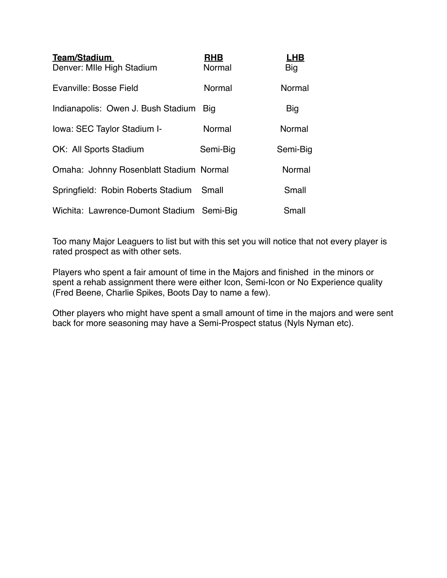| <b>Team/Stadium</b><br>Denver: Mile High Stadium | <b>RHB</b><br>Normal | <b>LHB</b><br>Big |
|--------------------------------------------------|----------------------|-------------------|
| Evanville: Bosse Field                           | Normal               | Normal            |
| Indianapolis: Owen J. Bush Stadium Big           |                      | <b>Big</b>        |
| Iowa: SEC Taylor Stadium I-                      | Normal               | Normal            |
| <b>OK: All Sports Stadium</b>                    | Semi-Big             | Semi-Big          |
| Omaha: Johnny Rosenblatt Stadium Normal          |                      | Normal            |
| Springfield: Robin Roberts Stadium Small         |                      | Small             |
| Wichita: Lawrence-Dumont Stadium Semi-Big        |                      | Small             |

Too many Major Leaguers to list but with this set you will notice that not every player is rated prospect as with other sets.

Players who spent a fair amount of time in the Majors and finished in the minors or spent a rehab assignment there were either Icon, Semi-Icon or No Experience quality (Fred Beene, Charlie Spikes, Boots Day to name a few).

Other players who might have spent a small amount of time in the majors and were sent back for more seasoning may have a Semi-Prospect status (Nyls Nyman etc).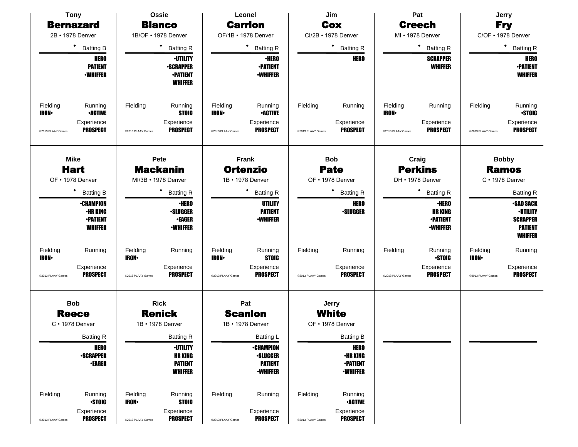| <b>Tony</b>                                                                                                 | Ossie                                                                                                     | Leonel                                                                                                      | Jim                                                                                         | Pat                                                                                      | <b>Jerry</b>                                                                                                   |
|-------------------------------------------------------------------------------------------------------------|-----------------------------------------------------------------------------------------------------------|-------------------------------------------------------------------------------------------------------------|---------------------------------------------------------------------------------------------|------------------------------------------------------------------------------------------|----------------------------------------------------------------------------------------------------------------|
| <b>Bernazard</b>                                                                                            | <b>Blanco</b>                                                                                             | <b>Carrion</b>                                                                                              | <b>Cox</b>                                                                                  | <b>Creech</b>                                                                            | <b>Fry</b>                                                                                                     |
| 2B • 1978 Denver                                                                                            | 1B/OF · 1978 Denver                                                                                       | OF/1B • 1978 Denver                                                                                         | CI/2B · 1978 Denver                                                                         | MI • 1978 Denver                                                                         | C/OF . 1978 Denver                                                                                             |
| ٠<br><b>Batting B</b>                                                                                       | $\bullet$<br><b>Batting R</b>                                                                             | ٠<br><b>Batting R</b>                                                                                       | ٠<br><b>Batting R</b>                                                                       | $\bullet$<br><b>Batting R</b>                                                            | ٠<br><b>Batting R</b>                                                                                          |
| <b>HERO</b><br><b>PATIENT</b><br><b>-WHIFFER</b>                                                            | <b>-UTILITY</b><br><b>-SCRAPPER</b><br><b>•PATIENT</b><br><b>WHIFFER</b>                                  | <b>·HERO</b><br><b>•PATIENT</b><br><b>-WHIFFER</b>                                                          | <b>HERO</b>                                                                                 | <b>SCRAPPER</b><br><b>WHIFFER</b>                                                        | <b>HERO</b><br><b>-PATIENT</b><br><b>WHIFFER</b>                                                               |
| Fielding<br>Running<br><b>IRON-</b><br><b>•ACTIVE</b><br>Experience<br><b>PROSPECT</b><br>@2013 PLAAY Games | Fielding<br>Running<br><b>STOIC</b><br>Experience<br><b>PROSPECT</b><br>@2013 PLAAY Games                 | Fielding<br>Running<br><b>IRON-</b><br><b>•ACTIVE</b><br>Experience<br><b>PROSPECT</b><br>@2013 PLAAY Games | Fielding<br>Running<br>Experience<br><b>PROSPECT</b><br>@2013 PLAAY Games                   | Fielding<br>Running<br><b>IRON</b><br>Experience<br><b>PROSPECT</b><br>@2013 PLAAY Games | Fielding<br>Running<br><b>STOIC</b><br>Experience<br><b>PROSPECT</b><br>@2013 PLAAY Games                      |
| <b>Mike</b><br><b>Hart</b><br>OF • 1978 Denver<br>٠                                                         | Pete<br><b>Mackanin</b><br>MI/3B · 1978 Denver                                                            | Frank<br><b>Ortenzio</b><br>1B • 1978 Denver<br>٠                                                           | <b>Bob</b><br><b>Pate</b><br>OF • 1978 Denver                                               | Craig<br><b>Perkins</b><br>DH · 1978 Denver<br>$\bullet$                                 | <b>Bobby</b><br><b>Ramos</b><br>$C \cdot 1978$ Denver                                                          |
| <b>Batting B</b><br><b>•CHAMPION</b><br><b>•HR KING</b><br><b>-PATIENT</b><br><b>WHIFFER</b>                | <b>Batting R</b><br><b>•HERO</b><br><b>·SLUGGER</b><br><b>·EAGER</b><br><b>-WHIFFER</b>                   | <b>Batting R</b><br><b>UTILITY</b><br><b>PATIENT</b><br><b>•WHIFFER</b>                                     | <b>Batting R</b><br><b>HERO</b><br><b>•SLUGGER</b>                                          | <b>Batting R</b><br><b>•HERO</b><br><b>HR KING</b><br><b>-PATIENT</b><br><b>-WHIFFER</b> | <b>Batting R</b><br><b>•SAD SACK</b><br><b>·UTILITY</b><br><b>SCRAPPER</b><br><b>PATIENT</b><br><b>WHIFFER</b> |
| Fielding<br>Running<br><b>IRON</b> •                                                                        | Fielding<br>Running<br><b>IRON</b>                                                                        | Fielding<br>Running<br><b>IRON-</b><br><b>STOIC</b>                                                         | Fielding<br>Running                                                                         | Fielding<br>Running<br><b>STOIC</b>                                                      | Fielding<br>Running<br><b>IRON</b>                                                                             |
| Experience<br><b>PROSPECT</b><br>@2013 PLAAY Games                                                          | Experience<br><b>PROSPECT</b><br>@2013 PLAAY Games                                                        | Experience<br><b>PROSPECT</b><br>@2013 PLAAY Games                                                          | Experience<br><b>PROSPECT</b><br>@2013 PLAAY Games                                          | Experience<br><b>PROSPECT</b><br>@2013 PLAAY Games                                       | Experience<br><b>PROSPECT</b><br>@2013 PLAAY Games                                                             |
| <b>Bob</b><br><b>Reece</b><br>$C \cdot 1978$ Denver                                                         | <b>Rick</b><br><b>Renick</b><br>1B • 1978 Denver                                                          | Pat<br><b>Scanlon</b><br>1B • 1978 Denver                                                                   | Jerry<br><b>White</b><br>OF • 1978 Denver                                                   |                                                                                          |                                                                                                                |
| <b>Batting R</b><br><b>HERO</b><br><b>-SCRAPPER</b><br>∙EAGER                                               | <b>Batting R</b><br><b>-UTILITY</b><br><b>HR KING</b><br><b>PATIENT</b><br><b>WHIFFER</b>                 | Batting L<br><b>•CHAMPION</b><br><b>•SLUGGER</b><br><b>PATIENT</b><br><b>-WHIFFER</b>                       | <b>Batting B</b><br><b>HERO</b><br><b>•HR KING</b><br><b>•PATIENT</b><br><b>•WHIFFER</b>    |                                                                                          |                                                                                                                |
| Fielding<br>Running<br><b>STOIC</b><br>Experience<br><b>PROSPECT</b><br>@2013 PLAAY Games                   | Fielding<br>Running<br><b>IRON-</b><br><b>STOIC</b><br>Experience<br><b>PROSPECT</b><br>@2013 PLAAY Games | Fielding<br>Running<br>Experience<br><b>PROSPECT</b><br>@2013 PLAAY Games                                   | Fielding<br>Running<br><b>•ACTIVE</b><br>Experience<br><b>PROSPECT</b><br>@2013 PLAAY Games |                                                                                          |                                                                                                                |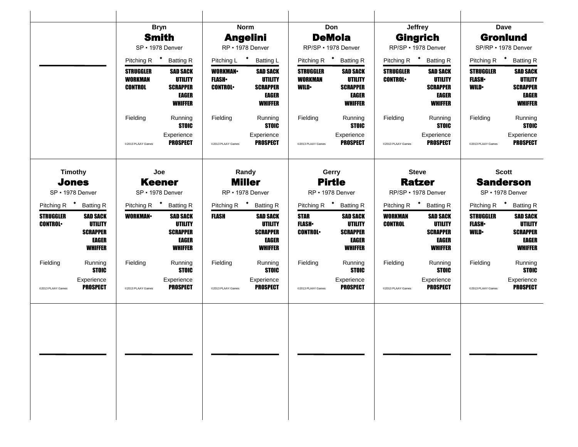|                                    |                                                                          |                                               | <b>Bryn</b>                                                                            |                                                    | Norm                                                                                   |                                                   | Don                                                                                    |                                    | Jeffrey                                                                         |                                                   | <b>Dave</b>                                                                     |
|------------------------------------|--------------------------------------------------------------------------|-----------------------------------------------|----------------------------------------------------------------------------------------|----------------------------------------------------|----------------------------------------------------------------------------------------|---------------------------------------------------|----------------------------------------------------------------------------------------|------------------------------------|---------------------------------------------------------------------------------|---------------------------------------------------|---------------------------------------------------------------------------------|
|                                    |                                                                          | <b>Smith</b>                                  |                                                                                        |                                                    | <b>Angelini</b>                                                                        |                                                   | <b>DeMola</b>                                                                          |                                    | <b>Gingrich</b>                                                                 |                                                   | <b>Gronlund</b>                                                                 |
|                                    |                                                                          | SP · 1978 Denver                              |                                                                                        |                                                    | RP · 1978 Denver                                                                       |                                                   | RP/SP · 1978 Denver                                                                    |                                    | RP/SP • 1978 Denver                                                             |                                                   | SP/RP • 1978 Denver                                                             |
|                                    |                                                                          | Pitching R <sup>+</sup> Batting R             |                                                                                        |                                                    | Pitching L * Batting L                                                                 |                                                   | Pitching R <sup>+</sup> Batting R                                                      |                                    | Pitching R <sup>+</sup> Batting R                                               |                                                   | Pitching R <sup>+</sup> Batting R                                               |
|                                    |                                                                          | <b>STRUGGLER</b><br><b>WORKMAN</b><br>CONTROL | <b>SAD SACK</b><br>UTILITY<br><b>SCRAPPER</b><br><b>EAGER</b><br><b>WHIFFER</b>        | <b>WORKMAN</b><br><b>FLASH</b> •<br><b>CONTROL</b> | <b>SAD SACK</b><br><b>UTILITY</b><br><b>SCRAPPER</b><br><b>EAGER</b><br><b>WHIFFER</b> | <b>STRUGGLER</b><br><b>WORKMAN</b><br><b>WILD</b> | <b>SAD SACK</b><br><b>UTILITY</b><br><b>SCRAPPER</b><br><b>EAGER</b><br><b>WHIFFER</b> | <b>STRUGGLER</b><br><b>CONTROL</b> | <b>SAD SACK</b><br>UTILITY<br><b>SCRAPPER</b><br><b>EAGER</b><br><b>WHIFFER</b> | <b>STRUGGLER</b><br><b>FLASH</b> •<br><b>WILD</b> | <b>SAD SACK</b><br><b>UTILITY</b><br><b>SCRAPPER</b><br>EAGER<br><b>WHIFFER</b> |
|                                    |                                                                          | Fielding                                      | Running<br><b>STOIC</b>                                                                | Fielding                                           | Running<br><b>STOIC</b>                                                                | Fielding                                          | Running<br><b>STOIC</b>                                                                | Fielding                           | Running<br><b>STOIC</b>                                                         | Fielding                                          | Running<br><b>STOIC</b>                                                         |
|                                    |                                                                          | @2013 PLAAY Games                             | Experience<br><b>PROSPECT</b>                                                          | @2013 PLAAY Games                                  | Experience<br><b>PROSPECT</b>                                                          | @2013 PLAAY Games                                 | Experience<br><b>PROSPECT</b>                                                          | @2013 PLAAY Games                  | Experience<br><b>PROSPECT</b>                                                   | @2013 PLAAY Games                                 | Experience<br><b>PROSPECT</b>                                                   |
|                                    | Timothy<br><b>Jones</b>                                                  | Joe<br><b>Keener</b>                          |                                                                                        |                                                    | Randy<br><b>Miller</b>                                                                 |                                                   | Gerry<br><b>Pirtle</b>                                                                 |                                    | <b>Steve</b><br><b>Ratzer</b>                                                   |                                                   | <b>Scott</b><br><b>Sanderson</b>                                                |
|                                    | SP • 1978 Denver                                                         | SP · 1978 Denver                              |                                                                                        | RP · 1978 Denver                                   |                                                                                        | RP · 1978 Denver                                  |                                                                                        |                                    | RP/SP • 1978 Denver                                                             |                                                   | SP • 1978 Denver                                                                |
|                                    | Pitching R <sup>+</sup> Batting R                                        | Pitching R <sup>+</sup> Batting R             |                                                                                        |                                                    | Pitching R <sup>+</sup> Batting R                                                      |                                                   | Pitching R <sup>+</sup> Batting R                                                      |                                    | Pitching R <sup>+</sup> Batting R                                               |                                                   | Pitching R <sup>+</sup> Batting R                                               |
| <b>STRUGGLER</b><br><b>CONTROL</b> | <b>SAD SACK</b><br><b>UTILITY</b><br><b>SCRAPPER</b><br>EAGER<br>WHIFFER | <b>WORKMAN-</b>                               | <b>SAD SACK</b><br><b>UTILITY</b><br><b>SCRAPPER</b><br><b>EAGER</b><br><b>WHIFFER</b> | FLASH                                              | <b>SAD SACK</b><br><b>UTILITY</b><br><b>SCRAPPER</b><br><b>EAGER</b><br><b>WHIFFER</b> | <b>STAR</b><br><b>FLASH</b><br><b>CONTROL</b>     | <b>SAD SACK</b><br><b>UTILITY</b><br><b>SCRAPPER</b><br><b>EAGER</b><br><b>WHIFFER</b> | <b>WORKMAN</b><br><b>CONTROL</b>   | <b>SAD SACK</b><br>UTILITY<br><b>SCRAPPER</b><br>EAGER<br><b>WHIFFER</b>        | <b>STRUGGLER</b><br><b>FLASH</b> •<br><b>WILD</b> | <b>SAD SACK</b><br>UTILITY<br><b>SCRAPPER</b><br>EAGER<br><b>WHIFFER</b>        |
| Fielding                           | Running<br><b>STOIC</b>                                                  | Fielding                                      | Running<br><b>STOIC</b>                                                                | Fielding                                           | Running<br><b>STOIC</b>                                                                | Fielding                                          | Running<br><b>STOIC</b>                                                                | Fielding                           | Running<br><b>STOIC</b>                                                         | Fielding                                          | Running<br><b>STOIC</b>                                                         |
| @2013 PLAAY Games                  | Experience<br><b>PROSPECT</b>                                            | @2013 PLAAY Games                             | Experience<br><b>PROSPECT</b>                                                          | @2013 PLAAY Games                                  | Experience<br><b>PROSPECT</b>                                                          | @2013 PLAAY Games                                 | Experience<br><b>PROSPECT</b>                                                          | @2013 PLAAY Games                  | Experience<br><b>PROSPECT</b>                                                   | @2013 PLAAY Games                                 | Experience<br><b>PROSPECT</b>                                                   |
|                                    |                                                                          |                                               |                                                                                        |                                                    |                                                                                        |                                                   |                                                                                        |                                    |                                                                                 |                                                   |                                                                                 |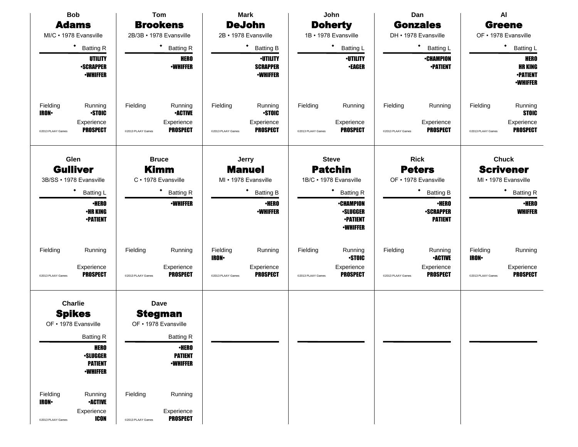| <b>Bob</b>                                                                                                                                                                                                                                                    | Tom                                                                                                                                                                                                  | <b>Mark</b>                                                                               | John                                                                                      | Dan                                                                                         | AI                                                                                        |
|---------------------------------------------------------------------------------------------------------------------------------------------------------------------------------------------------------------------------------------------------------------|------------------------------------------------------------------------------------------------------------------------------------------------------------------------------------------------------|-------------------------------------------------------------------------------------------|-------------------------------------------------------------------------------------------|---------------------------------------------------------------------------------------------|-------------------------------------------------------------------------------------------|
| <b>Adams</b>                                                                                                                                                                                                                                                  | <b>Brookens</b>                                                                                                                                                                                      | <b>DeJohn</b>                                                                             | <b>Doherty</b>                                                                            | <b>Gonzales</b>                                                                             | <b>Greene</b>                                                                             |
| MI/C · 1978 Evansville                                                                                                                                                                                                                                        | 2B/3B · 1978 Evansville                                                                                                                                                                              | 2B · 1978 Evansville                                                                      | 1B · 1978 Evansville                                                                      | DH · 1978 Evansville                                                                        | OF • 1978 Evansville                                                                      |
| ٠<br><b>Batting R</b>                                                                                                                                                                                                                                         | $\bullet$<br><b>Batting R</b>                                                                                                                                                                        | ٠<br><b>Batting B</b>                                                                     | ٠<br><b>Batting L</b>                                                                     | ٠<br><b>Batting L</b>                                                                       | $\bullet$<br><b>Batting L</b>                                                             |
| <b>UTILITY</b><br><b>•SCRAPPER</b><br><b>-WHIFFER</b>                                                                                                                                                                                                         | <b>HERO</b><br><b>-WHIFFER</b>                                                                                                                                                                       | <b>·UTILITY</b><br><b>SCRAPPER</b><br><b>-WHIFFER</b>                                     | <b>-UTILITY</b><br><b>•EAGER</b>                                                          | <b>•CHAMPION</b><br><b>•PATIENT</b>                                                         | <b>HERO</b><br><b>HR KING</b><br><b>-PATIENT</b><br><b>-WHIFFER</b>                       |
| Fielding<br>Running<br><b>STOIC</b><br><b>IRON</b><br>Experience<br><b>PROSPECT</b><br>@2013 PLAAY Games                                                                                                                                                      | Fielding<br>Running<br><b>•ACTIVE</b><br>Experience<br><b>PROSPECT</b><br>@2013 PLAAY Games                                                                                                          | Fielding<br>Running<br><b>STOIC</b><br>Experience<br><b>PROSPECT</b><br>@2013 PLAAY Games | Fielding<br>Running<br>Experience<br><b>PROSPECT</b><br>@2013 PLAAY Games                 | Fielding<br>Running<br>Experience<br><b>PROSPECT</b><br>@2013 PLAAY Games                   | Fielding<br>Running<br><b>STOIC</b><br>Experience<br><b>PROSPECT</b><br>@2013 PLAAY Games |
| Glen<br><b>Gulliver</b><br>3B/SS · 1978 Evansville<br>٠<br>Batting L                                                                                                                                                                                          | <b>Bruce</b><br><b>Kimm</b><br>C · 1978 Evansville<br><b>Batting R</b>                                                                                                                               | Jerry<br><b>Manuel</b><br>MI • 1978 Evansville<br>٠<br><b>Batting B</b>                   | <b>Steve</b><br><b>Patchin</b><br>1B/C · 1978 Evansville<br><b>Batting R</b>              | <b>Rick</b><br><b>Peters</b><br>OF • 1978 Evansville<br>٠<br><b>Batting B</b>               | <b>Chuck</b><br><b>Scrivener</b><br>MI • 1978 Evansville<br>٠<br><b>Batting R</b>         |
| <b>•HERO</b><br><b>•HR KING</b><br><b>•PATIENT</b>                                                                                                                                                                                                            | <b>-WHIFFER</b>                                                                                                                                                                                      | <b>·HERO</b><br><b>-WHIFFER</b>                                                           | <b>•CHAMPION</b><br><b>·SLUGGER</b><br><b>•PATIENT</b><br><b>•WHIFFER</b>                 | <b>•HERO</b><br><b>-SCRAPPER</b><br><b>PATIENT</b>                                          | <b>•HERO</b><br><b>WHIFFER</b>                                                            |
| Fielding<br>Running<br>Experience<br><b>PROSPECT</b><br>@2013 PLAAY Games                                                                                                                                                                                     | Fielding<br>Running<br>Experience<br><b>PROSPECT</b><br>@2013 PLAAY Games                                                                                                                            | Fielding<br>Running<br><b>IRON-</b><br>Experience<br><b>PROSPECT</b><br>@2013 PLAAY Games | Fielding<br>Running<br><b>STOIC</b><br>Experience<br><b>PROSPECT</b><br>@2013 PLAAY Games | Fielding<br>Running<br><b>-ACTIVE</b><br>Experience<br><b>PROSPECT</b><br>@2013 PLAAY Games | Fielding<br>Running<br><b>IRON</b><br>Experience<br><b>PROSPECT</b><br>@2013 PLAAY Games  |
| <b>Charlie</b><br><b>Spikes</b><br>OF • 1978 Evansville<br><b>Batting R</b><br><b>HERO</b><br><b>-SLUGGER</b><br><b>PATIENT</b><br><b>-WHIFFER</b><br>Fielding<br>Running<br><b>IRON•</b><br><b>•ACTIVE</b><br>Experience<br><b>ICON</b><br>@2013 PLAAY Games | Dave<br><b>Stegman</b><br>OF • 1978 Evansville<br><b>Batting R</b><br><b>·HERO</b><br><b>PATIENT</b><br><b>-WHIFFER</b><br>Fielding<br>Running<br>Experience<br><b>PROSPECT</b><br>@2013 PLAAY Games |                                                                                           |                                                                                           |                                                                                             |                                                                                           |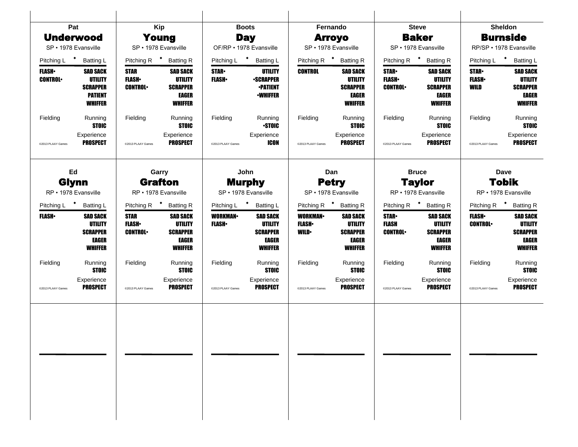|                                  | Pat                                                                               |                                               | <b>Kip</b>                                                                      |                                | <b>Boots</b>                                                                           |                                                | Fernando                                                                               |                                               | <b>Steve</b>                                                                           |                                       | <b>Sheldon</b>                                                                  |
|----------------------------------|-----------------------------------------------------------------------------------|-----------------------------------------------|---------------------------------------------------------------------------------|--------------------------------|----------------------------------------------------------------------------------------|------------------------------------------------|----------------------------------------------------------------------------------------|-----------------------------------------------|----------------------------------------------------------------------------------------|---------------------------------------|---------------------------------------------------------------------------------|
|                                  | <b>Underwood</b>                                                                  |                                               | <b>Young</b>                                                                    |                                | <b>Day</b>                                                                             |                                                | <b>Arroyo</b>                                                                          |                                               | <b>Baker</b>                                                                           |                                       | <b>Burnside</b>                                                                 |
|                                  | SP · 1978 Evansville                                                              |                                               | SP · 1978 Evansville                                                            |                                | OF/RP • 1978 Evansville                                                                |                                                | SP · 1978 Evansville                                                                   |                                               | SP · 1978 Evansville                                                                   |                                       | RP/SP · 1978 Evansville                                                         |
|                                  | Pitching L <sup>+</sup> Batting L                                                 |                                               | Pitching R <sup>+</sup> Batting R                                               |                                | Pitching L * Batting L                                                                 |                                                | Pitching R <sup>+</sup> Batting R                                                      |                                               | Pitching R <sup>+</sup> Batting R                                                      | Pitching L <sup>+</sup>               | <b>Batting L</b>                                                                |
| <b>FLASH</b> •<br><b>CONTROL</b> | <b>SAD SACK</b><br>UTILITY<br><b>SCRAPPER</b><br><b>PATIENT</b><br><b>WHIFFER</b> | <b>STAR</b><br><b>FLASH</b><br><b>CONTROL</b> | <b>SAD SACK</b><br><b>UTILITY</b><br><b>SCRAPPER</b><br>EAGER<br><b>WHIFFER</b> | <b>STAR</b><br><b>FLASH</b>    | UTILITY<br><b>-SCRAPPER</b><br><b>-PATIENT</b><br><b>-WHIFFER</b>                      | <b>CONTROL</b>                                 | <b>SAD SACK</b><br><b>UTILITY</b><br><b>SCRAPPER</b><br><b>EAGER</b><br><b>WHIFFER</b> | <b>STAR</b><br><b>FLASH</b><br><b>CONTROL</b> | <b>SAD SACK</b><br><b>UTILITY</b><br><b>SCRAPPER</b><br><b>EAGER</b><br><b>WHIFFER</b> | <b>STAR</b> •<br><b>FLASH</b><br>WILD | <b>SAD SACK</b><br><b>UTILITY</b><br><b>SCRAPPER</b><br>EAGER<br><b>WHIFFER</b> |
| Fielding                         | Running<br><b>STOIC</b>                                                           | Fielding                                      | Running<br><b>STOIC</b>                                                         | Fielding                       | Running<br><b>STOIC</b>                                                                | Fielding                                       | Running<br><b>STOIC</b>                                                                | Fielding                                      | Running<br><b>STOIC</b>                                                                | Fielding                              | Running<br><b>STOIC</b>                                                         |
| @2013 PLAAY Games                | Experience<br><b>PROSPECT</b>                                                     | @2013 PLAAY Games                             | Experience<br><b>PROSPECT</b>                                                   | @2013 PLAAY Games              | Experience<br>ICON                                                                     | @2013 PLAAY Games                              | Experience<br><b>PROSPECT</b>                                                          | @2013 PLAAY Games                             | Experience<br><b>PROSPECT</b>                                                          | @2013 PLAAY Games                     | Experience<br><b>PROSPECT</b>                                                   |
|                                  | Ed                                                                                |                                               | Garry                                                                           |                                | John                                                                                   |                                                | Dan                                                                                    |                                               | <b>Bruce</b>                                                                           |                                       | <b>Dave</b>                                                                     |
|                                  | <b>Grafton</b><br><b>Glynn</b><br>RP · 1978 Evansville<br>RP · 1978 Evansville    |                                               | <b>Murphy</b><br>SP · 1978 Evansville                                           |                                | <b>Petry</b><br>SP · 1978 Evansville                                                   |                                                | <b>Taylor</b><br>RP · 1978 Evansville                                                  |                                               |                                                                                        | <b>Tobik</b><br>RP · 1978 Evansville  |                                                                                 |
|                                  | Pitching L * Batting L                                                            |                                               | Pitching R <sup>+</sup> Batting R                                               | Pitching L * Batting L         |                                                                                        |                                                | Pitching R <sup>+</sup> Batting R                                                      | Pitching R <sup>+</sup> Batting R             |                                                                                        |                                       | Pitching R <sup>+</sup> Batting R                                               |
| <b>FLASH</b>                     | <b>SAD SACK</b><br>UTILITY<br><b>SCRAPPER</b><br>EAGER<br><b>WHIFFER</b>          | <b>STAR</b><br><b>FLASH</b><br><b>CONTROL</b> | <b>SAD SACK</b><br><b>UTILITY</b><br><b>SCRAPPER</b><br>EAGER<br><b>WHIFFER</b> | <b>WORKMAN</b><br><b>FLASH</b> | <b>SAD SACK</b><br><b>UTILITY</b><br><b>SCRAPPER</b><br><b>EAGER</b><br><b>WHIFFER</b> | <b>WORKMAN-</b><br><b>FLASH</b><br><b>WILD</b> | <b>SAD SACK</b><br><b>UTILITY</b><br><b>SCRAPPER</b><br><b>EAGER</b><br><b>WHIFFER</b> | <b>STAR</b><br><b>FLASH</b><br><b>CONTROL</b> | <b>SAD SACK</b><br><b>UTILITY</b><br><b>SCRAPPER</b><br>EAGER<br><b>WHIFFER</b>        | <b>FLASH</b> •<br><b>CONTROL</b>      | <b>SAD SACK</b><br><b>UTILITY</b><br><b>SCRAPPER</b><br>EAGER<br><b>WHIFFER</b> |
| Fielding                         | Running<br><b>STOIC</b>                                                           | Fielding                                      | Running<br><b>STOIC</b>                                                         | Fielding                       | Running<br><b>STOIC</b>                                                                | Fielding                                       | Running<br><b>STOIC</b>                                                                | Fielding                                      | Running<br><b>STOIC</b>                                                                | Fielding                              | Running<br><b>STOIC</b>                                                         |
| @2013 PLAAY Games                | Experience<br><b>PROSPECT</b>                                                     | @2013 PLAAY Games                             | Experience<br><b>PROSPECT</b>                                                   | @2013 PLAAY Games              | Experience<br><b>PROSPECT</b>                                                          | @2013 PLAAY Games                              | Experience<br><b>PROSPECT</b>                                                          | @2013 PLAAY Games                             | Experience<br><b>PROSPECT</b>                                                          | @2013 PLAAY Games                     | Experience<br><b>PROSPECT</b>                                                   |
|                                  |                                                                                   |                                               |                                                                                 |                                |                                                                                        |                                                |                                                                                        |                                               |                                                                                        |                                       |                                                                                 |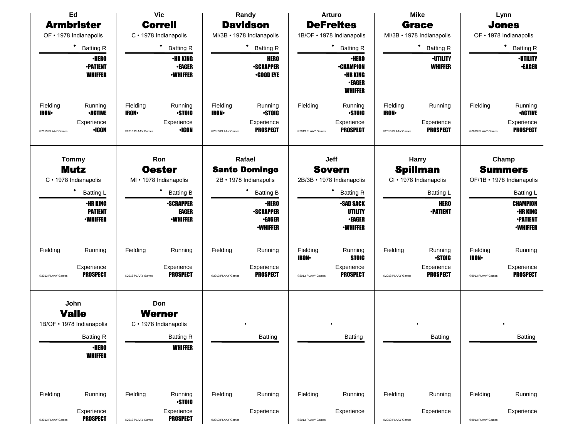|                                                    | <b>Vic</b><br>Ed<br>Randy<br><b>Armbrister</b><br><b>Correll</b><br><b>Davidson</b> |                                              |                                                                              |                                               | <b>Arturo</b><br><b>DeFreites</b>                                                        |                                              | <b>Mike</b><br><b>Grace</b>                                                                |                                                | Lynn                                                      |                                              |                                                                                              |
|----------------------------------------------------|-------------------------------------------------------------------------------------|----------------------------------------------|------------------------------------------------------------------------------|-----------------------------------------------|------------------------------------------------------------------------------------------|----------------------------------------------|--------------------------------------------------------------------------------------------|------------------------------------------------|-----------------------------------------------------------|----------------------------------------------|----------------------------------------------------------------------------------------------|
| OF • 1978 Indianapolis                             |                                                                                     |                                              | C · 1978 Indianapolis                                                        |                                               | MI/3B · 1978 Indianapolis                                                                |                                              | 1B/OF · 1978 Indianapolis                                                                  |                                                | MI/3B · 1978 Indianapolis                                 |                                              | <b>Jones</b><br>OF • 1978 Indianapolis                                                       |
| ٠                                                  | <b>Batting R</b>                                                                    |                                              | ٠<br><b>Batting R</b>                                                        |                                               | ٠<br><b>Batting R</b>                                                                    |                                              | ٠<br><b>Batting R</b>                                                                      |                                                | ٠<br><b>Batting R</b>                                     |                                              | $\bullet$<br><b>Batting R</b>                                                                |
|                                                    | <b>•HERO</b><br><b>-PATIENT</b><br><b>WHIFFER</b>                                   |                                              | <b>•HR KING</b><br><b>•EAGER</b><br><b>-WHIFFER</b>                          |                                               | <b>HERO</b><br><b>-SCRAPPER</b><br><b>•GOOD EYE</b>                                      |                                              | <b>·HERO</b><br><b>•CHAMPION</b><br><b>•HR KING</b><br><b>-EAGER</b><br><b>WHIFFER</b>     |                                                | <b>·UTILITY</b><br><b>WHIFFER</b>                         |                                              | <b>-UTILITY</b><br><b>•EAGER</b>                                                             |
| Fielding<br><b>IRON</b><br>@2013 PLAAY Games       | Running<br><b>•ACTIVE</b><br>Experience<br>$\cdot$ ICON                             | Fielding<br><b>IRON</b><br>@2013 PLAAY Games | Running<br><b>STOIC</b><br>Experience<br><b>•ICON</b>                        | Fielding<br><b>IRON-</b><br>@2013 PLAAY Games | Running<br><b>STOIC</b><br>Experience<br><b>PROSPECT</b>                                 | Fielding<br>@2013 PLAAY Games                | Running<br><b>STOIC</b><br>Experience<br><b>PROSPECT</b>                                   | Fielding<br><b>IRON</b> •<br>@2013 PLAAY Games | Running<br>Experience<br><b>PROSPECT</b>                  | Fielding<br>@2013 PLAAY Games                | Running<br><b>•ACTIVE</b><br>Experience<br><b>PROSPECT</b>                                   |
| <b>Tommy</b><br>Mutz<br>C · 1978 Indianapolis<br>٠ |                                                                                     |                                              | Ron<br><b>Oester</b><br>MI • 1978 Indianapolis                               |                                               | Rafael<br><b>Santo Domingo</b><br>2B · 1978 Indianapolis<br>٠                            |                                              | <b>Jeff</b><br><b>Sovern</b><br>2B/3B · 1978 Indianapolis<br>٠                             |                                                | <b>Harry</b><br><b>Spillman</b><br>CI · 1978 Indianapolis |                                              | Champ<br><b>Summers</b><br>OF/1B · 1978 Indianapolis                                         |
|                                                    | <b>Batting L</b><br><b>•HR KING</b><br><b>PATIENT</b><br><b>•WHIFFER</b>            |                                              | <b>Batting B</b><br><b>-SCRAPPER</b><br><b>EAGER</b><br><b>-WHIFFER</b>      |                                               | <b>Batting B</b><br><b>-HERO</b><br><b>-SCRAPPER</b><br><b>-EAGER</b><br><b>-WHIFFER</b> |                                              | <b>Batting R</b><br><b>-SAD SACK</b><br><b>UTILITY</b><br><b>•EAGER</b><br><b>-WHIFFER</b> |                                                | Batting L<br><b>HERO</b><br><b>-PATIENT</b>               |                                              | <b>Batting L</b><br><b>CHAMPION</b><br>•HR KING<br><b>-PATIENT</b><br><b><i>•WHIFFER</i></b> |
| Fielding<br>@2013 PLAAY Games                      | Running<br>Experience<br><b>PROSPECT</b>                                            | Fielding<br>@2013 PLAAY Games                | Running<br>Experience<br><b>PROSPECT</b>                                     | Fielding<br>@2013 PLAAY Games                 | Running<br>Experience<br><b>PROSPECT</b>                                                 | Fielding<br><b>IRON</b><br>@2013 PLAAY Games | Running<br><b>STOIC</b><br>Experience<br><b>PROSPECT</b>                                   | Fielding<br>@2013 PLAAY Games                  | Running<br><b>STOIC</b><br>Experience<br><b>PROSPECT</b>  | Fielding<br><b>IRON</b><br>@2013 PLAAY Games | Running<br>Experience<br><b>PROSPECT</b>                                                     |
| John<br><b>Valle</b><br>1B/OF • 1978 Indianapolis  | <b>Batting R</b><br><b>•HERO</b><br><b>WHIFFER</b>                                  |                                              | Don<br>Werner<br>C · 1978 Indianapolis<br><b>Batting R</b><br><b>WHIFFER</b> |                                               | <b>Batting</b>                                                                           |                                              | Batting                                                                                    |                                                | Batting                                                   |                                              | <b>Batting</b>                                                                               |
| Fielding                                           | Running                                                                             | Fielding                                     | Running                                                                      | Fielding                                      | Running                                                                                  | Fielding                                     | Running                                                                                    | Fielding                                       | Running                                                   | Fielding                                     | Running                                                                                      |
| @2013 PLAAY Games                                  | Experience<br><b>PROSPECT</b>                                                       | @2013 PLAAY Games                            | <b>-STOIC</b><br>Experience<br><b>PROSPECT</b>                               | @2013 PLAAY Games                             | Experience                                                                               | @2013 PLAAY Games                            | Experience                                                                                 | @2013 PLAAY Games                              | Experience                                                | @2013 PLAAY Games                            | Experience                                                                                   |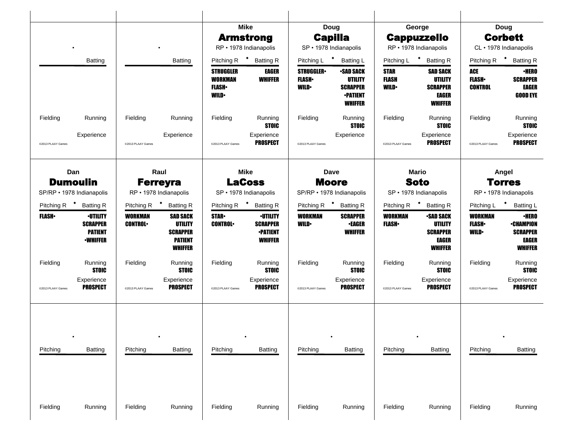|                   |                                                                         |                                  |                                                                                          |                                                                   | <b>Mike</b><br><b>Armstrong</b><br>RP · 1978 Indianapolis               |                                                 | Doug<br><b>Capilla</b><br>SP · 1978 Indianapolis                                           |                                            | George<br><b>Cappuzzello</b><br>RP · 1978 Indianapolis                           |                                                 | Doug<br><b>Corbett</b><br>CL · 1978 Indianapolis                                      |
|-------------------|-------------------------------------------------------------------------|----------------------------------|------------------------------------------------------------------------------------------|-------------------------------------------------------------------|-------------------------------------------------------------------------|-------------------------------------------------|--------------------------------------------------------------------------------------------|--------------------------------------------|----------------------------------------------------------------------------------|-------------------------------------------------|---------------------------------------------------------------------------------------|
|                   | <b>Batting</b>                                                          |                                  | <b>Batting</b>                                                                           |                                                                   | Pitching R <sup>+</sup> Batting R                                       | Pitching L <sup>+</sup>                         | <b>Batting L</b>                                                                           | Pitching L <sup>+</sup>                    | <b>Batting R</b>                                                                 | Pitching R $\bullet$                            | <b>Batting R</b>                                                                      |
|                   |                                                                         |                                  |                                                                                          | <b>STRUGGLER</b><br><b>WORKMAN</b><br><b>FLASH</b><br><b>WILD</b> | <b>EAGER</b><br><b>WHIFFER</b>                                          | <b>STRUGGLER</b><br><b>FLASH</b><br><b>WILD</b> | <b>-SAD SACK</b><br><b>UTILITY</b><br><b>SCRAPPER</b><br><b>-PATIENT</b><br><b>WHIFFER</b> | <b>STAR</b><br><b>FLASH</b><br><b>WILD</b> | <b>SAD SACK</b><br><b>UTILITY</b><br><b>SCRAPPER</b><br>EAGER<br><b>WHIFFER</b>  | ACE<br><b>FLASH</b><br><b>CONTROL</b>           | <b>·HERO</b><br><b>SCRAPPER</b><br><b>EAGER</b><br><b>GOOD EYE</b>                    |
| Fielding          | Running                                                                 | Fielding                         | Running                                                                                  | Fielding                                                          | Running<br><b>STOIC</b>                                                 | Fielding                                        | Running<br><b>STOIC</b>                                                                    | Fielding                                   | Running<br><b>STOIC</b>                                                          | Fielding                                        | Running<br><b>STOIC</b>                                                               |
| @2013 PLAAY Games | Experience                                                              | @2013 PLAAY Games                | Experience                                                                               | @2013 PLAAY Games                                                 | Experience<br><b>PROSPECT</b>                                           | @2013 PLAAY Games                               | Experience                                                                                 | @2013 PLAAY Games                          | Experience<br><b>PROSPECT</b>                                                    | @2013 PLAAY Games                               | Experience<br><b>PROSPECT</b>                                                         |
|                   | Dan                                                                     |                                  | Raul                                                                                     |                                                                   | <b>Mike</b>                                                             |                                                 | Dave                                                                                       |                                            | <b>Mario</b>                                                                     |                                                 | Angel                                                                                 |
|                   | <b>Dumoulin</b><br>SP/RP · 1978 Indianapolis                            |                                  | <b>Ferreyra</b><br>RP · 1978 Indianapolis                                                |                                                                   | <b>LaCoss</b><br>SP · 1978 Indianapolis                                 |                                                 | <b>Moore</b><br>SP/RP · 1978 Indianapolis                                                  |                                            | <b>Soto</b><br>SP · 1978 Indianapolis                                            |                                                 | <b>Torres</b><br>RP · 1978 Indianapolis                                               |
|                   | Pitching R <sup>+</sup> Batting R                                       | Pitching R $\bullet$             | <b>Batting R</b>                                                                         |                                                                   | Pitching R <sup>+</sup> Batting R                                       | Pitching R <sup>+</sup>                         | <b>Batting R</b>                                                                           | Pitching R <sup>+</sup>                    | <b>Batting R</b>                                                                 | Pitching L                                      | <b>Batting L</b>                                                                      |
| <b>FLASH</b>      | <b>-UTILITY</b><br><b>SCRAPPER</b><br><b>PATIENT</b><br><b>-WHIFFER</b> | <b>WORKMAN</b><br><b>CONTROL</b> | <b>SAD SACK</b><br><b>UTILITY</b><br><b>SCRAPPER</b><br><b>PATIENT</b><br><b>WHIFFER</b> | <b>STAR-</b><br><b>CONTROL</b>                                    | <b>-UTILITY</b><br><b>SCRAPPER</b><br><b>-PATIENT</b><br><b>WHIFFER</b> | <b>WORKMAN</b><br><b>WILD</b>                   | <b>SCRAPPER</b><br><b>-EAGER</b><br><b>WHIFFER</b>                                         | WORKMAN<br><b>FLASH</b> •                  | <b>-SAD SACK</b><br><b>UTILITY</b><br><b>SCRAPPER</b><br><b>EAGER</b><br>WHIFFER | <b>WORKMAN</b><br><b>FLASH</b> •<br><b>WILD</b> | <b>·HERO</b><br><b>-CHAMPION</b><br><b>SCRAPPER</b><br><b>EAGER</b><br><b>WHIFFER</b> |
| Fielding          | Running<br><b>STOIC</b>                                                 | Fielding                         | Running<br><b>STOIC</b>                                                                  | Fielding                                                          | Running<br><b>STOIC</b>                                                 | Fielding                                        | Running<br><b>STOIC</b>                                                                    | Fielding                                   | Running<br><b>STOIC</b>                                                          | Fielding                                        | Running<br><b>STOIC</b>                                                               |
| @2013 PLAAY Games | Experience<br><b>PROSPECT</b>                                           | @2013 PLAAY Games                | Experience<br><b>PROSPECT</b>                                                            | @2013 PLAAY Games                                                 | Experience<br><b>PROSPECT</b>                                           | @2013 PLAAY Games                               | Experience<br><b>PROSPECT</b>                                                              | @2013 PLAAY Games                          | Experience<br><b>PROSPECT</b>                                                    | @2013 PLAAY Games                               | Experience<br><b>PROSPECT</b>                                                         |
|                   |                                                                         |                                  |                                                                                          |                                                                   |                                                                         |                                                 |                                                                                            |                                            |                                                                                  |                                                 |                                                                                       |
| Pitching          | Batting                                                                 | Pitching                         | Batting                                                                                  | Pitching                                                          | Batting                                                                 | Pitching                                        | Batting                                                                                    | Pitching                                   | <b>Batting</b>                                                                   | Pitching                                        | <b>Batting</b>                                                                        |
|                   |                                                                         |                                  |                                                                                          |                                                                   |                                                                         |                                                 |                                                                                            |                                            |                                                                                  |                                                 |                                                                                       |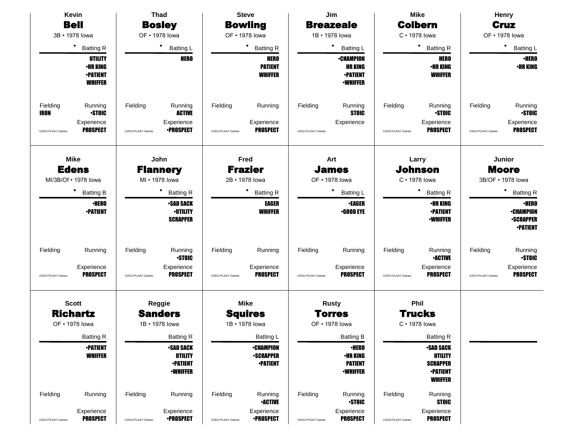| Kevin                                                                                                    | <b>Thad</b>                                                                                 | <b>Steve</b>                                                              | Jim                                                                    | <b>Mike</b>                                                                               | <b>Henry</b>                                                                              |  |
|----------------------------------------------------------------------------------------------------------|---------------------------------------------------------------------------------------------|---------------------------------------------------------------------------|------------------------------------------------------------------------|-------------------------------------------------------------------------------------------|-------------------------------------------------------------------------------------------|--|
| <b>Bell</b>                                                                                              | <b>Bosley</b>                                                                               | <b>Bowling</b>                                                            | <b>Breazeale</b>                                                       | <b>Colbern</b>                                                                            | <b>Cruz</b>                                                                               |  |
| 3B · 1978 lowa                                                                                           | OF • 1978 lowa                                                                              | OF • 1978 lowa                                                            | 1B · 1978 lowa                                                         | C · 1978 lowa                                                                             | OF • 1978 lowa                                                                            |  |
| ٠<br><b>Batting R</b>                                                                                    | Batting L                                                                                   | ٠<br><b>Batting R</b>                                                     | <b>Batting L</b>                                                       | * Batting R                                                                               | ٠<br><b>Batting L</b>                                                                     |  |
| <b>UTILITY</b>                                                                                           | <b>HERO</b>                                                                                 | <b>HERO</b>                                                               | <b>•CHAMPION</b>                                                       | <b>HERO</b>                                                                               | <b>•HERO</b>                                                                              |  |
| <b>·HR KING</b><br><b>•PATIENT</b>                                                                       |                                                                                             | <b>PATIENT</b><br><b>WHIFFER</b>                                          | <b>HR KING</b><br><b>•PATIENT</b>                                      | <b>•HR KING</b><br>WHIFFER                                                                | <b>·HR KING</b>                                                                           |  |
| <b>WHIFFER</b>                                                                                           |                                                                                             |                                                                           | <b>-WHIFFER</b>                                                        |                                                                                           |                                                                                           |  |
| Fielding<br>Running<br><b>STOIC</b><br><b>IRON</b><br>Experience<br><b>PROSPECT</b><br>@2013 PLAAY Games | Fielding<br>Running<br><b>ACTIVE</b><br>Experience<br><b>•PROSPECT</b><br>@2013 PLAAY Games | Fielding<br>Running<br>Experience<br><b>PROSPECT</b><br>@2013 PLAAY Games | Fielding<br>Running<br><b>STOIC</b><br>Experience<br>@2013 PLAAY Games | Running<br>Fielding<br><b>STOIC</b><br>Experience<br><b>PROSPECT</b><br>@2013 PLAAY Games | Fielding<br>Running<br><b>STOIC</b><br>Experience<br><b>PROSPECT</b><br>@2013 PLAAY Games |  |
| <b>Mike</b><br><b>Edens</b>                                                                              | John                                                                                        | Fred<br><b>Frazier</b>                                                    | Art<br><b>James</b>                                                    | Larry<br><b>Johnson</b>                                                                   | Junior                                                                                    |  |
| MI/3B/Of • 1978 lowa                                                                                     | <b>Flannery</b><br>MI • 1978 lowa                                                           | 2B · 1978 lowa                                                            | OF • 1978 lowa                                                         | $C \cdot 1978$ lowa                                                                       | <b>Moore</b><br>3B/OF • 1978 lowa                                                         |  |
| ٠<br><b>Batting B</b>                                                                                    | <b>Batting R</b>                                                                            | ٠<br><b>Batting R</b>                                                     | ٠<br><b>Batting L</b>                                                  | $\bullet$<br><b>Batting R</b>                                                             | <b>Batting R</b>                                                                          |  |
| <b>·HERO</b>                                                                                             | <b>SAD SACK</b>                                                                             | <b>EAGER</b>                                                              | <b>•EAGER</b>                                                          | <b>•HR KING</b>                                                                           | <b>•HERO</b>                                                                              |  |
| <b>•PATIENT</b>                                                                                          | <b>-UTILITY</b><br><b>SCRAPPER</b>                                                          | <b>WHIFFER</b>                                                            | <b>.GOOD EYE</b>                                                       | <b>•PATIENT</b><br><b>-WHIFFER</b>                                                        | <b>•CHAMPION</b><br><b>-SCRAPPER</b><br><b>-PATIENT</b>                                   |  |
| Fielding<br>Running                                                                                      | Fielding<br>Running<br><b>STOIC</b>                                                         | Fielding<br>Running                                                       | Fielding<br>Running                                                    | Fielding<br>Running<br><b>-ACTIVE</b>                                                     | Fielding<br>Running<br><b>STOIC</b>                                                       |  |
| Experience<br><b>PROSPECT</b><br>@2013 PLAAY Games                                                       | Experience<br><b>PROSPECT</b><br>@2013 PLAAY Games                                          | Experience<br><b>PROSPECT</b><br>@2013 PLAAY Games                        | Experience<br><b>PROSPECT</b><br>@2013 PLAAY Games                     | Experience<br><b>PROSPECT</b><br>@2013 PLAAY Games                                        | Experience<br><b>PROSPECT</b><br>@2013 PLAAY Games                                        |  |
| <b>Scott</b>                                                                                             | Reggie                                                                                      | <b>Mike</b>                                                               | <b>Rusty</b>                                                           | Phil                                                                                      |                                                                                           |  |
| <b>Richartz</b>                                                                                          | <b>Sanders</b>                                                                              | <b>Squires</b>                                                            | <b>Torres</b>                                                          | <b>Trucks</b>                                                                             |                                                                                           |  |
| OF • 1978 lowa                                                                                           | 1B · 1978 lowa                                                                              | 1B · 1978 lowa                                                            | OF • 1978 lowa                                                         | $C \cdot 1978$ lowa                                                                       |                                                                                           |  |
| <b>Batting R</b>                                                                                         | <b>Batting R</b>                                                                            | <b>Batting L</b>                                                          | <b>Batting B</b>                                                       | <b>Batting R</b>                                                                          |                                                                                           |  |
| <b>-PATIENT</b><br><b>WHIFFER</b>                                                                        | <b>-SAD SACK</b><br><b>UTILITY</b>                                                          | <b>•CHAMPION</b><br><b>-SCRAPPER</b>                                      | <b>•HERO</b><br><b>•HR KING</b>                                        | <b>-SAD SACK</b><br><b>UTILITY</b>                                                        |                                                                                           |  |
|                                                                                                          | <b>-PATIENT</b><br><b>-WHIFFER</b>                                                          | <b>•PATIENT</b>                                                           | <b>PATIENT</b><br><b>-WHIFFER</b>                                      | <b>SCRAPPER</b><br><b>•PATIENT</b><br><b>WHIFFER</b>                                      |                                                                                           |  |
| Fielding<br>Running                                                                                      | Fielding<br>Running                                                                         | Fielding<br>Running<br><b>•ACTIVE</b>                                     | Fielding<br>Running<br><b>STOIC</b>                                    | Fielding<br>Running<br><b>STOIC</b>                                                       |                                                                                           |  |
| Experience<br><b>PROSPECT</b><br>@2013 PLAAY Games                                                       | Experience<br><b>•PROSPECT</b><br>@2013 PLAAY Games                                         | Experience<br><b>•PROSPECT</b><br>@2013 PLAAY Games                       | Experience<br><b>PROSPECT</b><br>@2013 PLAAY Games                     | Experience<br><b>PROSPECT</b><br>@2013 PLAAY Games                                        |                                                                                           |  |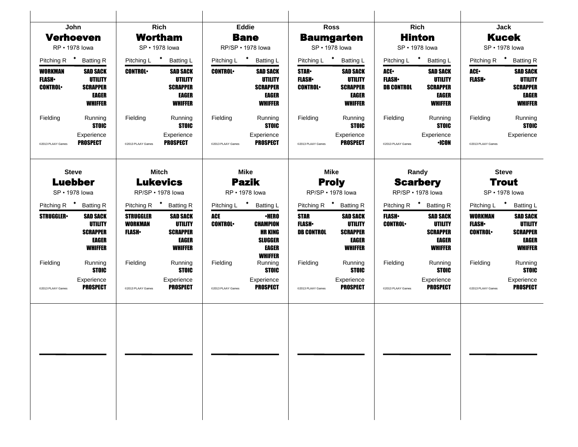|                                                   | <b>John</b>                                                                     |                                                    | <b>Rich</b>                                                                            |                       | <b>Eddie</b>                                                                                   |                                                  | <b>Ross</b>                                                                            |                                           | <b>Rich</b>                                                                     |                                                  | Jack                                                                            |
|---------------------------------------------------|---------------------------------------------------------------------------------|----------------------------------------------------|----------------------------------------------------------------------------------------|-----------------------|------------------------------------------------------------------------------------------------|--------------------------------------------------|----------------------------------------------------------------------------------------|-------------------------------------------|---------------------------------------------------------------------------------|--------------------------------------------------|---------------------------------------------------------------------------------|
|                                                   | <b>Verhoeven</b>                                                                |                                                    | <b>Wortham</b>                                                                         |                       | <b>Bane</b>                                                                                    |                                                  | <b>Baumgarten</b>                                                                      |                                           | <b>Hinton</b>                                                                   |                                                  | <b>Kucek</b>                                                                    |
|                                                   | RP • 1978 lowa                                                                  |                                                    | SP • 1978 lowa                                                                         |                       | RP/SP · 1978 lowa                                                                              |                                                  | SP • 1978 lowa                                                                         |                                           | SP • 1978 lowa                                                                  |                                                  | SP • 1978 lowa                                                                  |
|                                                   | Pitching R <sup>+</sup> Batting R                                               |                                                    | Pitching L * Batting L                                                                 |                       | Pitching L + Batting L                                                                         |                                                  | Pitching L * Batting L                                                                 |                                           | Pitching L * Batting L                                                          | Pitching R $\bullet$                             | <b>Batting R</b>                                                                |
| <b>WORKMAN</b><br><b>FLASH•</b><br><b>CONTROL</b> | <b>SAD SACK</b><br><b>UTILITY</b><br><b>SCRAPPER</b><br>EAGER<br><b>WHIFFER</b> | <b>CONTROL</b>                                     | <b>SAD SACK</b><br>UTILITY<br><b>SCRAPPER</b><br>EAGER<br><b>WHIFFER</b>               | <b>CONTROL</b>        | <b>SAD SACK</b><br><b>UTILITY</b><br><b>SCRAPPER</b><br><b>EAGER</b><br><b>WHIFFER</b>         | <b>STAR•</b><br><b>FLASH</b><br><b>CONTROL</b>   | <b>SAD SACK</b><br><b>UTILITY</b><br><b>SCRAPPER</b><br><b>EAGER</b><br><b>WHIFFER</b> | ACE.<br><b>FLASH</b><br><b>DB CONTROL</b> | <b>SAD SACK</b><br><b>UTILITY</b><br><b>SCRAPPER</b><br>EAGER<br><b>WHIFFER</b> | ACE.<br><b>FLASH</b>                             | <b>SAD SACK</b><br><b>UTILITY</b><br><b>SCRAPPER</b><br>EAGER<br><b>WHIFFER</b> |
| Fielding                                          | Running<br><b>STOIC</b>                                                         | Fielding                                           | Running<br>STOIC                                                                       | Fielding              | Running<br><b>STOIC</b>                                                                        | Fielding                                         | Running<br><b>STOIC</b>                                                                | Fielding                                  | Running<br><b>STOIC</b>                                                         | Fielding                                         | Running<br><b>STOIC</b>                                                         |
| @2013 PLAAY Games                                 | Experience<br><b>PROSPECT</b>                                                   | @2013 PLAAY Games                                  | Experience<br>PROSPECT                                                                 | @2013 PLAAY Games     | Experience<br><b>PROSPECT</b>                                                                  | @2013 PLAAY Games                                | Experience<br><b>PROSPECT</b>                                                          | @2013 PLAAY Games                         | Experience<br><b>•ICON</b>                                                      | @2013 PLAAY Games                                | Experience                                                                      |
|                                                   | <b>Steve</b>                                                                    |                                                    | <b>Mitch</b>                                                                           |                       | <b>Mike</b>                                                                                    |                                                  | Mike                                                                                   |                                           | Randy                                                                           |                                                  | <b>Steve</b>                                                                    |
|                                                   | <b>Luebber</b>                                                                  |                                                    | <b>Lukevics</b>                                                                        | <b>Pazik</b>          |                                                                                                |                                                  | <b>Proly</b>                                                                           | <b>Scarbery</b>                           |                                                                                 | <b>Trout</b>                                     |                                                                                 |
|                                                   | SP • 1978 lowa                                                                  |                                                    | RP/SP · 1978 lowa                                                                      | RP • 1978 lowa        |                                                                                                |                                                  | RP/SP · 1978 lowa                                                                      | RP/SP · 1978 lowa                         |                                                                                 | SP • 1978 lowa                                   |                                                                                 |
|                                                   | Pitching R <sup>+</sup> Batting R                                               |                                                    | Pitching R <sup>+</sup> Batting R                                                      |                       | Pitching L <sup>+</sup> Batting L                                                              |                                                  | Pitching R <sup>+</sup> Batting R                                                      |                                           | Pitching R <sup>+</sup> Batting R                                               |                                                  | Pitching L * Batting L                                                          |
| <b>STRUGGLER</b>                                  | <b>SAD SACK</b><br>UTILITY<br><b>SCRAPPER</b><br>EAGER<br><b>WHIFFER</b>        | <b>STRUGGLER</b><br><b>WORKMAN</b><br><b>FLASH</b> | <b>SAD SACK</b><br><b>UTILITY</b><br><b>SCRAPPER</b><br><b>EAGER</b><br><b>WHIFFER</b> | ACE<br><b>CONTROL</b> | <b>·HERO</b><br><b>CHAMPION</b><br><b>HR KING</b><br><b>SLUGGER</b><br>EAGER<br><b>WHIFFER</b> | <b>STAR</b><br><b>FLASH</b><br><b>DB CONTROL</b> | <b>SAD SACK</b><br><b>UTILITY</b><br><b>SCRAPPER</b><br>EAGER<br><b>WHIFFER</b>        | <b>FLASH</b> •<br><b>CONTROL</b>          | <b>SAD SACK</b><br>UTILITY<br><b>SCRAPPER</b><br>EAGER<br><b>WHIFFER</b>        | <b>WORKMAN</b><br><b>FLASH</b><br><b>CONTROL</b> | <b>SAD SACK</b><br>UTILITY<br><b>SCRAPPER</b><br><b>EAGER</b><br><b>WHIFFER</b> |
| Fielding                                          | Running<br><b>STOIC</b>                                                         | Fielding                                           | Running<br><b>STOIC</b>                                                                | Fielding              | Running<br><b>STOIC</b>                                                                        | Fielding                                         | Running<br><b>STOIC</b>                                                                | Fielding                                  | Running<br><b>STOIC</b>                                                         | Fielding                                         | Running<br><b>STOIC</b>                                                         |
| @2013 PLAAY Games                                 | Experience<br><b>PROSPECT</b>                                                   | @2013 PLAAY Games                                  | Experience<br><b>PROSPECT</b>                                                          | @2013 PLAAY Games     | Experience<br><b>PROSPECT</b>                                                                  | @2013 PLAAY Games                                | Experience<br><b>PROSPECT</b>                                                          | @2013 PLAAY Games                         | Experience<br><b>PROSPECT</b>                                                   | @2013 PLAAY Games                                | Experience<br><b>PROSPECT</b>                                                   |
|                                                   |                                                                                 |                                                    |                                                                                        |                       |                                                                                                |                                                  |                                                                                        |                                           |                                                                                 |                                                  |                                                                                 |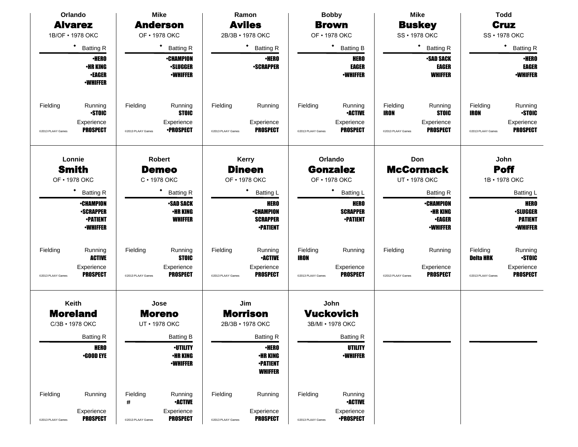| Orlando                                      |                                                                     |                                    | <b>Mike</b>                                                                                                   |                               | Ramon                                                                                                      |                                  | <b>Bobby</b>                                                                                      |                                              | <b>Mike</b>                                                                                  |                                       | <b>Todd</b>                                                                                |
|----------------------------------------------|---------------------------------------------------------------------|------------------------------------|---------------------------------------------------------------------------------------------------------------|-------------------------------|------------------------------------------------------------------------------------------------------------|----------------------------------|---------------------------------------------------------------------------------------------------|----------------------------------------------|----------------------------------------------------------------------------------------------|---------------------------------------|--------------------------------------------------------------------------------------------|
| <b>Alvarez</b>                               |                                                                     |                                    | <b>Anderson</b>                                                                                               |                               | <b>Aviles</b>                                                                                              |                                  | <b>Brown</b>                                                                                      |                                              | <b>Buskey</b>                                                                                |                                       | <b>Cruz</b>                                                                                |
| 1B/OF • 1978 OKC                             |                                                                     |                                    | OF • 1978 OKC                                                                                                 |                               | 2B/3B · 1978 OKC                                                                                           |                                  | OF • 1978 OKC                                                                                     |                                              | SS • 1978 OKC                                                                                |                                       | SS • 1978 OKC                                                                              |
| $\bullet$                                    | <b>Batting R</b>                                                    |                                    | ٠<br><b>Batting R</b>                                                                                         |                               | * Batting R                                                                                                |                                  | ٠<br><b>Batting B</b>                                                                             |                                              | $\bullet$<br><b>Batting R</b>                                                                |                                       | $\bullet$<br><b>Batting R</b>                                                              |
|                                              | <b>•HERO</b><br><b>•HR KING</b><br><b>•EAGER</b><br><b>•WHIFFER</b> |                                    | <b>•CHAMPION</b><br><b>-SLUGGER</b><br><b>-WHIFFER</b>                                                        |                               | <b>•HERO</b><br><b>-SCRAPPER</b>                                                                           |                                  | <b>HERO</b><br><b>EAGER</b><br><b>-WHIFFER</b>                                                    |                                              | <b>-SAD SACK</b><br><b>EAGER</b><br><b>WHIFFER</b>                                           |                                       | <b>•HERO</b><br><b>EAGER</b><br><b><i>•WHIFFER</i></b>                                     |
| Fielding<br>@2013 PLAAY Games                | Running<br><b>STOIC</b><br>Experience<br><b>PROSPECT</b>            | Fielding<br>@2013 PLAAY Games      | Running<br><b>STOIC</b><br>Experience<br><b>•PROSPECT</b>                                                     | Fielding<br>@2013 PLAAY Games | Running<br>Experience<br><b>PROSPECT</b>                                                                   | Fielding<br>@2013 PLAAY Games    | Running<br><b>•ACTIVE</b><br>Experience<br><b>PROSPECT</b>                                        | Fielding<br><b>IRON</b><br>@2013 PLAAY Games | Running<br><b>STOIC</b><br>Experience<br><b>PROSPECT</b>                                     | Fielding<br>IRON<br>@2013 PLAAY Games | Running<br><b>STOIC</b><br>Experience<br><b>PROSPECT</b>                                   |
| Lonnie<br><b>Smith</b><br>OF • 1978 OKC<br>٠ | <b>Batting R</b><br><b>-CHAMPION</b><br><b>•SCRAPPER</b>            |                                    | <b>Robert</b><br><b>Demeo</b><br>$C \cdot 1978$ OKC<br><b>Batting R</b><br><b>SAD SACK</b><br><b>•HR KING</b> |                               | <b>Kerry</b><br><b>Dineen</b><br>OF • 1978 OKC<br>٠<br><b>Batting L</b><br><b>HERO</b><br><b>•CHAMPION</b> |                                  | Orlando<br><b>Gonzalez</b><br>OF • 1978 OKC<br><b>Batting L</b><br><b>HERO</b><br><b>SCRAPPER</b> |                                              | Don<br><b>McCormack</b><br>UT • 1978 OKC<br><b>Batting R</b><br><b>-CHAMPION</b><br>•HR KING |                                       | John<br><b>Poff</b><br>1B · 1978 OKC<br><b>Batting L</b><br><b>HERO</b><br><b>·SLUGGER</b> |
| Fielding                                     | <b>•PATIENT</b><br><b>-WHIFFER</b><br>Running                       | Fielding                           | <b>WHIFFER</b><br>Running                                                                                     | Fielding                      | <b>SCRAPPER</b><br><b>•PATIENT</b><br>Running                                                              | Fielding                         | <b>•PATIENT</b><br>Running                                                                        | Fielding                                     | <b>•EAGER</b><br><b>-WHIFFER</b><br>Running                                                  | Fielding                              | <b>PATIENT</b><br><b>-WHIFFER</b><br>Running                                               |
| @2013 PLAAY Games                            | <b>ACTIVE</b><br>Experience<br><b>PROSPECT</b>                      | @2013 PLAAY Games                  | <b>STOIC</b><br>Experience<br><b>PROSPECT</b>                                                                 | @2013 PLAAY Games             | <b>•ACTIVE</b><br>Experience<br><b>PROSPECT</b>                                                            | <b>IRON</b><br>@2013 PLAAY Games | Experience<br><b>PROSPECT</b>                                                                     | @2013 PLAAY Games                            | Experience<br><b>PROSPECT</b>                                                                | <b>Delta HRK</b><br>@2013 PLAAY Games | <b>STOIC</b><br>Experience<br><b>PROSPECT</b>                                              |
| Keith                                        |                                                                     |                                    | Jose                                                                                                          |                               | Jim                                                                                                        |                                  | John                                                                                              |                                              |                                                                                              |                                       |                                                                                            |
| <b>Moreland</b>                              |                                                                     |                                    | <b>Moreno</b>                                                                                                 |                               | <b>Morrison</b>                                                                                            |                                  | <b>Vuckovich</b>                                                                                  |                                              |                                                                                              |                                       |                                                                                            |
| C/3B · 1978 OKC                              |                                                                     |                                    | UT • 1978 OKC                                                                                                 |                               | 2B/3B · 1978 OKC                                                                                           |                                  | 3B/MI • 1978 OKC                                                                                  |                                              |                                                                                              |                                       |                                                                                            |
|                                              | <b>Batting R</b>                                                    |                                    | <b>Batting B</b>                                                                                              |                               | <b>Batting R</b>                                                                                           |                                  | Batting R                                                                                         |                                              |                                                                                              |                                       |                                                                                            |
|                                              | <b>HERO</b><br>$-$ GOOD EYE                                         |                                    | <b>-UTILITY</b><br><b>•HR KING</b><br><b>-WHIFFER</b>                                                         |                               | <b>·HERO</b><br><b>•HR KING</b><br><b>•PATIENT</b><br><b>WHIFFER</b>                                       |                                  | <b>UTILITY</b><br><b>•WHIFFER</b>                                                                 |                                              |                                                                                              |                                       |                                                                                            |
| Fielding<br>@2013 PLAAY Games                | Running<br>Experience<br><b>PROSPECT</b>                            | Fielding<br>#<br>@2013 PLAAY Games | Running<br><b>•ACTIVE</b><br>Experience<br><b>PROSPECT</b>                                                    | Fielding<br>@2013 PLAAY Games | Running<br>Experience<br><b>PROSPECT</b>                                                                   | Fielding<br>@2013 PLAAY Games    | Running<br><b>-ACTIVE</b><br>Experience<br><b>•PROSPECT</b>                                       |                                              |                                                                                              |                                       |                                                                                            |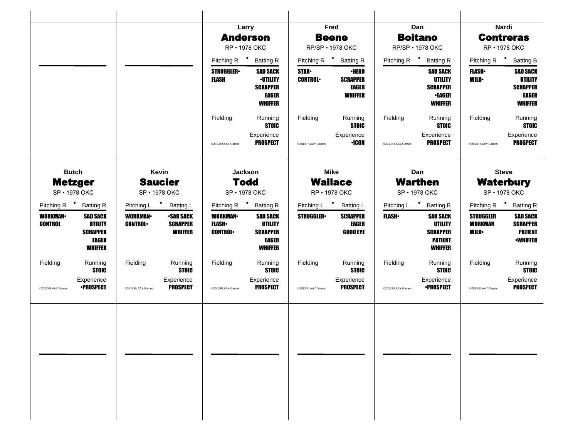|                                  |                                                                                 |                                  |                                                       |                                                  | Larry                                                                            |                               | Fred                                                              |                         | Dan                                                                        |                                                   | Nardi                                                                           |  |
|----------------------------------|---------------------------------------------------------------------------------|----------------------------------|-------------------------------------------------------|--------------------------------------------------|----------------------------------------------------------------------------------|-------------------------------|-------------------------------------------------------------------|-------------------------|----------------------------------------------------------------------------|---------------------------------------------------|---------------------------------------------------------------------------------|--|
|                                  |                                                                                 |                                  |                                                       |                                                  | <b>Anderson</b>                                                                  |                               | <b>Beene</b>                                                      |                         | <b>Boitano</b>                                                             |                                                   | <b>Contreras</b>                                                                |  |
|                                  |                                                                                 |                                  |                                                       |                                                  | RP • 1978 OKC                                                                    |                               | RP/SP • 1978 OKC                                                  |                         | RP/SP · 1978 OKC                                                           |                                                   | RP • 1978 OKC                                                                   |  |
|                                  |                                                                                 |                                  |                                                       |                                                  | Pitching R <sup>+</sup> Batting R                                                |                               | Pitching R <sup>+</sup> Batting R                                 |                         | Pitching R <sup>+</sup> Batting R                                          | Pitching R <sup>+</sup>                           | <b>Batting B</b>                                                                |  |
|                                  |                                                                                 |                                  |                                                       | <b>STRUGGLER</b><br><b>FLASH</b>                 | <b>SAD SACK</b><br><b>-UTILITY</b><br><b>SCRAPPER</b><br>EAGER<br><b>WHIFFER</b> | <b>STAR</b><br><b>CONTROL</b> | <b>·HERO</b><br><b>SCRAPPER</b><br><b>EAGER</b><br><b>WHIFFER</b> |                         | <b>SAD SACK</b><br><b>UTILITY</b><br><b>SCRAPPER</b><br>•EAGER<br>WHIFFER  | <b>FLASH</b> •<br><b>WILD</b>                     | <b>SAD SACK</b><br><b>UTILITY</b><br><b>SCRAPPER</b><br>EAGER<br><b>WHIFFER</b> |  |
|                                  |                                                                                 |                                  |                                                       | Fielding                                         | Running<br><b>STOIC</b>                                                          | Fielding                      | Running<br><b>STOIC</b>                                           | Fielding                | Running<br><b>STOIC</b>                                                    | Fielding                                          | Running<br><b>STOIC</b>                                                         |  |
|                                  |                                                                                 |                                  |                                                       | @2013 PLAAY Games                                | Experience<br><b>PROSPECT</b>                                                    | @2013 PLAAY Games             | Experience<br><b>•ICON</b>                                        | @2013 PLAAY Games       | Experience<br><b>PROSPECT</b>                                              | @2013 PLAAY Games                                 | Experience<br><b>PROSPECT</b>                                                   |  |
|                                  | <b>Butch</b>                                                                    |                                  | Kevin                                                 |                                                  | <b>Jackson</b>                                                                   |                               | Mike                                                              |                         | Dan                                                                        |                                                   | <b>Steve</b>                                                                    |  |
|                                  | <b>Metzger</b>                                                                  |                                  | <b>Saucier</b>                                        |                                                  | <b>Todd</b>                                                                      |                               | <b>Wallace</b>                                                    |                         | <b>Warthen</b>                                                             |                                                   | <b>Waterbury</b>                                                                |  |
|                                  | SP • 1978 OKC                                                                   |                                  | SP • 1978 OKC                                         | SP • 1978 OKC                                    |                                                                                  |                               | RP • 1978 OKC                                                     |                         | SP • 1978 OKC                                                              |                                                   | SP • 1978 OKC                                                                   |  |
|                                  | Pitching R <sup>+</sup> Batting R                                               |                                  | Pitching L <sup>+</sup> Batting L                     |                                                  | Pitching R <sup>+</sup> Batting R                                                |                               | Pitching L <sup>+</sup> Batting L                                 | Pitching L <sup>+</sup> | <b>Batting B</b>                                                           | Pitching R <sup>+</sup>                           | <b>Batting R</b>                                                                |  |
| <b>WORKMAN</b><br><b>CONTROL</b> | <b>SAD SACK</b><br><b>UTILITY</b><br><b>SCRAPPER</b><br>EAGER<br><b>WHIFFER</b> | <b>WORKMAN</b><br><b>CONTROL</b> | <b>•SAD SACK</b><br><b>SCRAPPER</b><br><b>WHIFFER</b> | <b>WORKMAN</b><br><b>FLASH</b><br><b>CONTROL</b> | <b>SAD SACK</b><br><b>UTILITY</b><br><b>SCRAPPER</b><br>EAGER<br><b>WHIFFER</b>  | <b>STRUGGLER</b>              | <b>SCRAPPER</b><br><b>EAGER</b><br><b>GOOD EYE</b>                | <b>FLASH</b> •          | <b>SAD SACK</b><br>UTILITY<br><b>SCRAPPER</b><br><b>PATIENT</b><br>WHIFFER | <b>STRUGGLER</b><br><b>WORKMAN</b><br><b>WILD</b> | <b>SAD SACK</b><br><b>SCRAPPER</b><br><b>PATIENT</b><br><b>-WHIFFER</b>         |  |
| Fielding                         | Running<br><b>STOIC</b>                                                         | Fielding                         | Running<br><b>STOIC</b>                               | Fielding                                         | Running<br><b>STOIC</b>                                                          | Fielding                      | Running<br><b>STOIC</b>                                           | Fielding                | Running<br><b>STOIC</b>                                                    | Fielding                                          | Running<br><b>STOIC</b>                                                         |  |
| @2013 PLAAY Games                | Experience<br><b>•PROSPECT</b>                                                  | @2013 PLAAY Games                | Experience<br><b>PROSPECT</b>                         | @2013 PLAAY Games                                | Experience<br><b>PROSPECT</b>                                                    | @2013 PLAAY Games             | Experience<br><b>PROSPECT</b>                                     | @2013 PLAAY Games       | Experience<br><b>•PROSPECT</b>                                             | @2013 PLAAY Games                                 | Experience<br><b>PROSPECT</b>                                                   |  |
|                                  |                                                                                 |                                  |                                                       |                                                  |                                                                                  |                               |                                                                   |                         |                                                                            |                                                   |                                                                                 |  |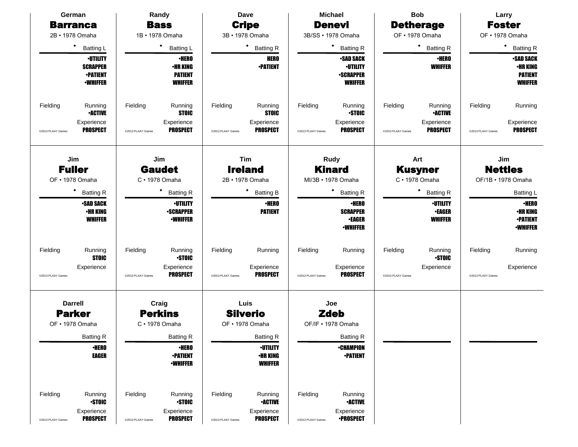|                   | German                                                                   |                   | Randy                                                               |                   | Dave                                                 |                   | <b>Michael</b>                                                            |                   | <b>Bob</b>                                    |                   | Larry                                                                  |
|-------------------|--------------------------------------------------------------------------|-------------------|---------------------------------------------------------------------|-------------------|------------------------------------------------------|-------------------|---------------------------------------------------------------------------|-------------------|-----------------------------------------------|-------------------|------------------------------------------------------------------------|
|                   | <b>Barranca</b>                                                          |                   | <b>Bass</b>                                                         |                   | <b>Cripe</b>                                         |                   | <b>Denevi</b>                                                             |                   | <b>Detherage</b>                              |                   | <b>Foster</b>                                                          |
| 2B · 1978 Omaha   |                                                                          |                   | 1B · 1978 Omaha                                                     |                   | 3B · 1978 Omaha                                      |                   | 3B/SS · 1978 Omaha                                                        |                   | OF • 1978 Omaha                               |                   | OF • 1978 Omaha                                                        |
|                   | ٠<br><b>Batting L</b>                                                    |                   | ٠<br><b>Batting L</b>                                               |                   | ٠<br><b>Batting R</b>                                |                   | ٠<br><b>Batting R</b>                                                     |                   | * Batting R                                   |                   | ٠<br><b>Batting R</b>                                                  |
|                   | <b>·UTILITY</b><br><b>SCRAPPER</b><br><b>-PATIENT</b><br><b>-WHIFFER</b> |                   | <b>•HERO</b><br><b>•HR KING</b><br><b>PATIENT</b><br><b>WHIFFER</b> |                   | <b>HERO</b><br><b>-PATIENT</b>                       |                   | <b>-SAD SACK</b><br><b>-UTILITY</b><br><b>-SCRAPPER</b><br><b>WHIFFER</b> |                   | <b>·HERO</b><br><b>WHIFFER</b>                |                   | <b>SAD SACK</b><br><b>•HR KING</b><br><b>PATIENT</b><br><b>WHIFFER</b> |
| Fielding          | Running<br><b>•ACTIVE</b><br>Experience                                  | Fielding          | Running<br><b>STOIC</b><br>Experience                               | Fielding          | Running<br><b>STOIC</b><br>Experience                | Fielding          | Running<br><b>STOIC</b><br>Experience                                     | Fielding          | Running<br><b>•ACTIVE</b><br>Experience       | Fielding          | Running<br>Experience                                                  |
| @2013 PLAAY Games | <b>PROSPECT</b>                                                          | @2013 PLAAY Games | <b>PROSPECT</b>                                                     | @2013 PLAAY Games | <b>PROSPECT</b>                                      | @2013 PLAAY Games | <b>PROSPECT</b>                                                           | @2013 PLAAY Games | <b>PROSPECT</b>                               | @2013 PLAAY Games | <b>PROSPECT</b>                                                        |
|                   | Jim<br><b>Fuller</b><br>OF • 1978 Omaha                                  |                   | Jim<br><b>Gaudet</b><br>C · 1978 Omaha                              |                   | Tim<br><b>Ireland</b><br>2B · 1978 Omaha             |                   | <b>Rudy</b><br><b>Kinard</b><br>MI/3B · 1978 Omaha                        |                   | Art<br><b>Kusyner</b><br>$C \cdot 1978$ Omaha |                   | Jim<br><b>Nettles</b><br>OF/1B · 1978 Omaha                            |
|                   | ٠<br><b>Batting R</b><br><b>Batting R</b>                                |                   |                                                                     |                   | ٠                                                    |                   | ٠                                                                         |                   | ٠                                             |                   |                                                                        |
|                   | <b>-SAD SACK</b>                                                         |                   | <b>·UTILITY</b>                                                     |                   | <b>Batting B</b><br><b>·HERO</b>                     |                   | <b>Batting R</b><br><b>-HERO</b>                                          |                   | <b>Batting R</b><br><b>-UTILITY</b>           |                   | <b>Batting L</b><br><b>·HERO</b>                                       |
|                   | •HR KING                                                                 |                   | <b>-SCRAPPER</b>                                                    |                   | <b>PATIENT</b>                                       |                   | <b>SCRAPPER</b>                                                           |                   | <b>•EAGER</b>                                 |                   | <b>•HR KING</b>                                                        |
|                   | <b>WHIFFER</b>                                                           |                   | <b>•WHIFFER</b>                                                     |                   |                                                      |                   | <b>•EAGER</b><br><b>•WHIFFER</b>                                          |                   | <b>WHIFFER</b>                                |                   | <b>-PATIENT</b><br><b>-WHIFFER</b>                                     |
| Fielding          | Running<br><b>STOIC</b>                                                  | Fielding          | Running<br><b>STOIC</b>                                             | Fielding          | Running                                              | Fielding          | Running                                                                   | Fielding          | Running<br><b>STOIC</b>                       | Fielding          | Running                                                                |
| @2013 PLAAY Games | Experience                                                               | @2013 PLAAY Games | Experience<br><b>PROSPECT</b>                                       | @2013 PLAAY Games | Experience<br><b>PROSPECT</b>                        | @2013 PLAAY Games | Experience<br><b>PROSPECT</b>                                             | @2013 PLAAY Games | Experience                                    | @2013 PLAAY Games | Experience                                                             |
|                   | <b>Darrell</b>                                                           |                   | Craig                                                               |                   | Luis                                                 |                   | Joe                                                                       |                   |                                               |                   |                                                                        |
|                   | <b>Parker</b>                                                            |                   | <b>Perkins</b>                                                      |                   | <b>Silverio</b>                                      |                   | <b>Zdeb</b>                                                               |                   |                                               |                   |                                                                        |
|                   | OF • 1978 Omaha                                                          |                   | $C \cdot 1978$ Omaha                                                |                   | OF • 1978 Omaha                                      |                   | OF/IF . 1978 Omaha                                                        |                   |                                               |                   |                                                                        |
|                   | <b>Batting R</b>                                                         |                   | <b>Batting R</b>                                                    |                   | <b>Batting R</b>                                     |                   | <b>Batting R</b>                                                          |                   |                                               |                   |                                                                        |
|                   | <b>•HERO</b><br><b>EAGER</b>                                             |                   | <b>·HERO</b><br><b>•PATIENT</b><br><b>-WHIFFER</b>                  |                   | <b>-UTILITY</b><br><b>•HR KING</b><br><b>WHIFFER</b> |                   | <b>•CHAMPION</b><br><b>-PATIENT</b>                                       |                   |                                               |                   |                                                                        |
| Fielding          | Running<br><b>STOIC</b>                                                  | Fielding          | Running<br><b>STOIC</b>                                             | Fielding          | Running<br><b>•ACTIVE</b>                            | Fielding          | Running<br><b>-ACTIVE</b>                                                 |                   |                                               |                   |                                                                        |
| @2013 PLAAY Games | Experience<br><b>PROSPECT</b>                                            | @2013 PLAAY Games | Experience<br><b>PROSPECT</b>                                       | @2013 PLAAY Games | Experience<br><b>PROSPECT</b>                        | @2013 PLAAY Games | Experience<br><b>•PROSPECT</b>                                            |                   |                                               |                   |                                                                        |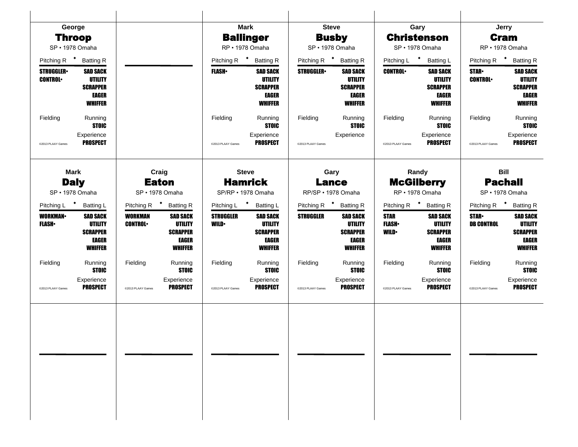| George                             |                                                                                 |                                  |                                                                                 | <b>Mark</b>                          |                                                                                        | <b>Steve</b>                                |                                                                                 | Gary                                            |                                                                          | Jerry                                       |                                                                                        |
|------------------------------------|---------------------------------------------------------------------------------|----------------------------------|---------------------------------------------------------------------------------|--------------------------------------|----------------------------------------------------------------------------------------|---------------------------------------------|---------------------------------------------------------------------------------|-------------------------------------------------|--------------------------------------------------------------------------|---------------------------------------------|----------------------------------------------------------------------------------------|
| <b>Throop</b>                      |                                                                                 |                                  |                                                                                 | <b>Ballinger</b>                     |                                                                                        | <b>Busby</b>                                |                                                                                 | <b>Christenson</b>                              |                                                                          | <b>Cram</b>                                 |                                                                                        |
| SP · 1978 Omaha                    |                                                                                 |                                  |                                                                                 | RP · 1978 Omaha                      |                                                                                        | SP · 1978 Omaha                             |                                                                                 | SP · 1978 Omaha                                 |                                                                          | RP · 1978 Omaha                             |                                                                                        |
| Pitching R <sup>+</sup>            | <b>Batting R</b>                                                                |                                  |                                                                                 | Pitching R <sup>+</sup>              | <b>Batting R</b>                                                                       | Pitching R <sup>+</sup><br><b>Batting R</b> |                                                                                 | $\rightarrow$<br>Pitching L<br><b>Batting L</b> |                                                                          | Pitching R <sup>+</sup><br><b>Batting R</b> |                                                                                        |
| <b>STRUGGLER</b><br><b>CONTROL</b> | <b>SAD SACK</b><br><b>UTILITY</b><br><b>SCRAPPER</b><br>EAGER<br><b>WHIFFER</b> |                                  |                                                                                 | <b>FLASH</b> •                       | <b>SAD SACK</b><br><b>UTILITY</b><br><b>SCRAPPER</b><br><b>EAGER</b><br><b>WHIFFER</b> | <b>STRUGGLER</b>                            | <b>SAD SACK</b><br>UTILITY<br><b>SCRAPPER</b><br>EAGER<br><b>WHIFFER</b>        | <b>CONTROL</b>                                  | <b>SAD SACK</b><br>UTILITY<br><b>SCRAPPER</b><br>EAGER<br><b>WHIFFER</b> | <b>STAR</b><br><b>CONTROL</b>               | <b>SAD SACK</b><br><b>UTILITY</b><br><b>SCRAPPER</b><br><b>EAGER</b><br><b>WHIFFER</b> |
| Fielding                           | Running<br><b>STOIC</b>                                                         |                                  |                                                                                 | Fielding                             | Running<br><b>STOIC</b>                                                                | Fielding                                    | Running<br><b>STOIC</b>                                                         | Fielding                                        | Running<br><b>STOIC</b>                                                  | Fielding                                    | Running<br><b>STOIC</b>                                                                |
| @2013 PLAAY Games                  | Experience<br><b>PROSPECT</b>                                                   |                                  |                                                                                 | @2013 PLAAY Games                    | Experience<br><b>PROSPECT</b>                                                          | @2013 PLAAY Games                           | Experience                                                                      | @2013 PLAAY Games                               | Experience<br><b>PROSPECT</b>                                            | @2013 PLAAY Games                           | Experience<br><b>PROSPECT</b>                                                          |
| <b>Mark</b>                        |                                                                                 | Craig                            |                                                                                 | <b>Steve</b>                         |                                                                                        | Gary                                        |                                                                                 | Randy                                           |                                                                          | <b>Bill</b>                                 |                                                                                        |
| <b>Daly</b><br>SP · 1978 Omaha     |                                                                                 | <b>Eaton</b><br>SP · 1978 Omaha  |                                                                                 | <b>Hamrick</b><br>SP/RP · 1978 Omaha |                                                                                        | <b>Lance</b><br>RP/SP · 1978 Omaha          |                                                                                 | <b>McGilberry</b><br>RP · 1978 Omaha            |                                                                          | <b>Pachall</b><br>SP · 1978 Omaha           |                                                                                        |
| Pitching L                         | $\ddot{\phantom{0}}$<br><b>Batting L</b>                                        | Pitching R <sup>+</sup>          | <b>Batting R</b>                                                                | Pitching L <sup>+</sup>              | <b>Batting L</b>                                                                       |                                             | Pitching R <sup>+</sup> Batting R                                               | Pitching R $\bullet$                            | <b>Batting R</b>                                                         | Pitching R $\bullet$                        | <b>Batting R</b>                                                                       |
| <b>WORKMAN</b><br><b>FLASH</b>     | <b>SAD SACK</b><br><b>UTILITY</b><br><b>SCRAPPER</b><br>EAGER<br><b>WHIFFER</b> | <b>WORKMAN</b><br><b>CONTROL</b> | <b>SAD SACK</b><br>UTILITY<br><b>SCRAPPER</b><br><b>EAGER</b><br><b>WHIFFER</b> | <b>STRUGGLER</b><br><b>WILD</b>      | <b>SAD SACK</b><br><b>UTILITY</b><br><b>SCRAPPER</b><br><b>EAGER</b><br><b>WHIFFER</b> | <b>STRUGGLER</b>                            | <b>SAD SACK</b><br>UTILITY<br><b>SCRAPPER</b><br><b>EAGER</b><br><b>WHIFFER</b> | <b>STAR</b><br><b>FLASH</b><br><b>WILD</b>      | <b>SAD SACK</b><br>UTILITY<br><b>SCRAPPER</b><br>EAGER<br>WHIFFER        | <b>STAR</b><br><b>DB CONTROL</b>            | <b>SAD SACK</b><br><b>UTILITY</b><br><b>SCRAPPER</b><br><b>EAGER</b><br><b>WHIFFER</b> |
| Fielding                           | Running<br><b>STOIC</b>                                                         | Fielding                         | Running<br><b>STOIC</b>                                                         | Fielding                             | Running<br><b>STOIC</b>                                                                | Fielding                                    | Running<br><b>STOIC</b>                                                         | Fielding                                        | Running<br><b>STOIC</b>                                                  | Fielding                                    | Running<br><b>STOIC</b>                                                                |
| @2013 PLAAY Games                  | Experience<br><b>PROSPECT</b>                                                   | @2013 PLAAY Games                | Experience<br><b>PROSPECT</b>                                                   | @2013 PLAAY Games                    | Experience<br>PROSPECT                                                                 | @2013 PLAAY Games                           | Experience<br><b>PROSPECT</b>                                                   | @2013 PLAAY Games                               | Experience<br><b>PROSPECT</b>                                            | @2013 PLAAY Games                           | Experience<br><b>PROSPECT</b>                                                          |
|                                    |                                                                                 |                                  |                                                                                 |                                      |                                                                                        |                                             |                                                                                 |                                                 |                                                                          |                                             |                                                                                        |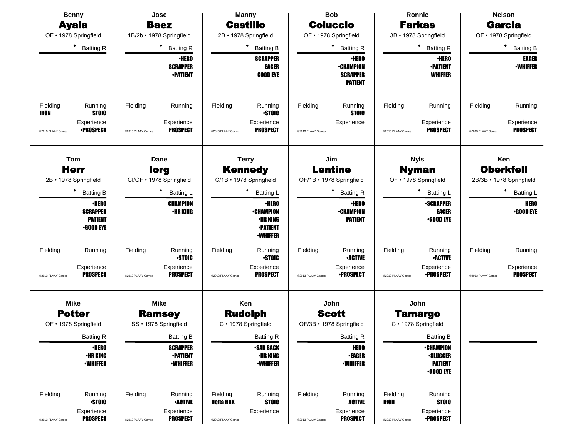| <b>Benny</b>                                        | Jose                                               | <b>Manny</b>                                            | <b>Bob</b>                                          | Ronnie                                              | <b>Nelson</b>                                      |  |
|-----------------------------------------------------|----------------------------------------------------|---------------------------------------------------------|-----------------------------------------------------|-----------------------------------------------------|----------------------------------------------------|--|
| <b>Ayala</b>                                        | <b>Baez</b>                                        | <b>Castillo</b>                                         | <b>Coluccio</b>                                     | <b>Farkas</b>                                       | <b>Garcia</b>                                      |  |
| OF • 1978 Springfield                               | 1B/2b · 1978 Springfield                           | 2B · 1978 Springfield                                   | OF • 1978 Springfield                               | 3B · 1978 Springfield                               | OF • 1978 Springfield                              |  |
| $\bullet$<br><b>Batting R</b>                       | $\bullet$<br><b>Batting R</b>                      | ٠<br><b>Batting B</b>                                   | ٠<br><b>Batting R</b>                               | * Batting R                                         | <b>Batting B</b>                                   |  |
|                                                     | <b>•HERO</b>                                       | <b>SCRAPPER</b>                                         | <b>•HERO</b>                                        | <b>•HERO</b>                                        | EAGER                                              |  |
|                                                     | <b>SCRAPPER</b><br><b>-PATIENT</b>                 | <b>EAGER</b><br><b>GOOD EYE</b>                         | <b>•CHAMPION</b><br><b>SCRAPPER</b>                 | <b>-PATIENT</b><br><b>WHIFFER</b>                   | <b>-WHIFFER</b>                                    |  |
|                                                     |                                                    |                                                         | <b>PATIENT</b>                                      |                                                     |                                                    |  |
| Fielding<br>Running<br><b>STOIC</b><br><b>IRON</b>  | Fielding<br>Running                                | Fielding<br>Running<br><b>STOIC</b>                     | Fielding<br>Running<br><b>STOIC</b>                 | Fielding<br>Running                                 | Fielding<br>Running                                |  |
| Experience<br><b>•PROSPECT</b><br>@2013 PLAAY Games | Experience<br><b>PROSPECT</b><br>@2013 PLAAY Games | Experience<br><b>PROSPECT</b><br>@2013 PLAAY Games      | Experience<br>@2013 PLAAY Games                     | Experience<br><b>PROSPECT</b><br>@2013 PLAAY Games  | Experience<br><b>PROSPECT</b><br>@2013 PLAAY Games |  |
| Tom                                                 | Dane                                               | <b>Terry</b>                                            | Jim                                                 | <b>Nyls</b>                                         | Ken                                                |  |
| <b>Herr</b>                                         | <b>lorg</b>                                        | <b>Kennedy</b>                                          | <b>Lentine</b>                                      | <b>Nyman</b>                                        | <b>Oberkfell</b>                                   |  |
| 2B · 1978 Springfield                               | CI/OF · 1978 Springfield                           | C/1B · 1978 Springfield                                 | OF/1B · 1978 Springfield                            | OF • 1978 Springfield                               | 2B/3B · 1978 Springfield                           |  |
| ٠<br><b>Batting B</b>                               | <b>Batting L</b>                                   | ٠<br><b>Batting L</b>                                   | <b>Batting R</b>                                    | <b>Batting L</b>                                    | <b>Batting L</b>                                   |  |
| <b>•HERO</b>                                        | <b>CHAMPION</b>                                    | <b>•HERO</b>                                            | <b>•HERO</b>                                        | <b>•SCRAPPER</b>                                    | <b>HERO</b>                                        |  |
| <b>SCRAPPER</b><br><b>PATIENT</b>                   | <b>•HR KING</b>                                    | <b>•CHAMPION</b><br><b>•HR KING</b>                     | <b>-CHAMPION</b><br><b>PATIENT</b>                  | <b>EAGER</b><br><b>•GOOD EYE</b>                    | <b>•GOOD EYE</b>                                   |  |
| <b>•GOOD EYE</b>                                    |                                                    | <b>•PATIENT</b><br><b>-WHIFFER</b>                      |                                                     |                                                     |                                                    |  |
| Fielding<br>Running                                 | Fielding<br>Running<br><b>STOIC</b>                | Fielding<br>Running<br><b>STOIC</b>                     | Fielding<br>Running<br><b>-ACTIVE</b>               | Fielding<br>Running<br><b>•ACTIVE</b>               | Fielding<br>Running                                |  |
| Experience<br><b>PROSPECT</b><br>@2013 PLAAY Games  | Experience<br><b>PROSPECT</b><br>@2013 PLAAY Games | Experience<br><b>PROSPECT</b><br>@2013 PLAAY Games      | Experience<br><b>•PROSPECT</b><br>@2013 PLAAY Games | Experience<br><b>•PROSPECT</b><br>@2013 PLAAY Games | Experience<br><b>PROSPECT</b><br>@2013 PLAAY Games |  |
| <b>Mike</b>                                         | <b>Mike</b>                                        | Ken                                                     | John                                                | John                                                |                                                    |  |
| <b>Potter</b>                                       | <b>Ramsey</b>                                      | <b>Rudolph</b>                                          | <b>Scott</b>                                        | <b>Tamargo</b>                                      |                                                    |  |
| OF • 1978 Springfield                               | SS · 1978 Springfield                              | C · 1978 Springfield                                    | OF/3B · 1978 Springfield                            | C · 1978 Springfield                                |                                                    |  |
| <b>Batting R</b>                                    | <b>Batting B</b>                                   | <b>Batting R</b>                                        | <b>Batting R</b>                                    | <b>Batting B</b>                                    |                                                    |  |
| <b>•HERO</b><br><b>•HR KING</b>                     | <b>SCRAPPER</b><br><b>•PATIENT</b>                 | <b>•SAD SACK</b><br><b>•HR KING</b>                     | <b>HERO</b><br><b>•EAGER</b>                        | <b>•CHAMPION</b><br><b>·SLUGGER</b>                 |                                                    |  |
| <b>•WHIFFER</b>                                     | <b>-WHIFFER</b>                                    | <b>-WHIFFER</b>                                         | <b>•WHIFFER</b>                                     | <b>PATIENT</b>                                      |                                                    |  |
|                                                     |                                                    |                                                         |                                                     | <b>•GOOD EYE</b>                                    |                                                    |  |
| Fielding<br>Running<br><b>STOIC</b>                 | Fielding<br>Running<br><b>•ACTIVE</b>              | Fielding<br>Running<br><b>STOIC</b><br><b>Deita HRK</b> | Fielding<br>Running<br><b>ACTIVE</b>                | Fielding<br>Running<br>IRON<br><b>STOIC</b>         |                                                    |  |
| Experience                                          | Experience                                         | Experience                                              | Experience                                          | Experience                                          |                                                    |  |
| <b>PROSPECT</b><br>@2013 PLAAY Games                | <b>PROSPECT</b><br>@2013 PLAAY Games               | @2013 PLAAY Games                                       | <b>PROSPECT</b><br>@2013 PLAAY Games                | <b>•PROSPECT</b><br>@2013 PLAAY Games               |                                                    |  |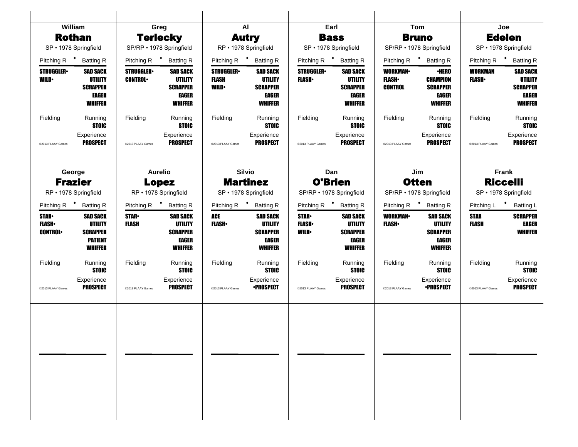| William                                       |                                                                                          | Greg                               |                                                                                        | AI                                                |                                                                                        | Earl                                       |                                                                                 | Tom                                              |                                                                               | Joe                               |                                                                                 |
|-----------------------------------------------|------------------------------------------------------------------------------------------|------------------------------------|----------------------------------------------------------------------------------------|---------------------------------------------------|----------------------------------------------------------------------------------------|--------------------------------------------|---------------------------------------------------------------------------------|--------------------------------------------------|-------------------------------------------------------------------------------|-----------------------------------|---------------------------------------------------------------------------------|
| <b>Rothan</b>                                 |                                                                                          | <b>Terlecky</b>                    |                                                                                        | <b>Autry</b>                                      |                                                                                        | <b>Bass</b>                                |                                                                                 | <b>Bruno</b>                                     |                                                                               | <b>Edelen</b>                     |                                                                                 |
| SP · 1978 Springfield                         |                                                                                          | SP/RP • 1978 Springfield           |                                                                                        | RP • 1978 Springfield                             |                                                                                        | SP · 1978 Springfield                      |                                                                                 | SP/RP · 1978 Springfield                         |                                                                               | SP · 1978 Springfield             |                                                                                 |
|                                               | Pitching R <sup>+</sup> Batting R                                                        | Pitching R + Batting R             |                                                                                        | Pitching R <sup>+</sup> Batting R                 |                                                                                        | Pitching R <sup>+</sup> Batting R          |                                                                                 | Pitching R <sup>+</sup> Batting R                |                                                                               | Pitching R <sup>+</sup> Batting R |                                                                                 |
| <b>STRUGGLER</b><br><b>WILD</b>               | <b>SAD SACK</b><br><b>UTILITY</b><br><b>SCRAPPER</b><br>EAGER<br><b>WHIFFER</b>          | <b>STRUGGLER</b><br><b>CONTROL</b> | SAD SACK<br><b>UTILITY</b><br><b>SCRAPPER</b><br><b>EAGER</b><br><b>WHIFFER</b>        | <b>STRUGGLER</b> •<br><b>FLASH</b><br><b>WILD</b> | <b>SAD SACK</b><br><b>UTILITY</b><br><b>SCRAPPER</b><br><b>EAGER</b><br><b>WHIFFER</b> | <b>STRUGGLER</b><br><b>FLASH</b>           | <b>SAD SACK</b><br>UTILITY<br><b>SCRAPPER</b><br><b>EAGER</b><br><b>WHIFFER</b> | <b>WORKMAN</b><br><b>FLASH</b><br><b>CONTROL</b> | ∙HERO<br><b>CHAMPION</b><br><b>SCRAPPER</b><br><b>EAGER</b><br><b>WHIFFER</b> | WORKMAN<br><b>FLASH</b>           | <b>SAD SACK</b><br>UTILITY<br><b>SCRAPPER</b><br><b>EAGER</b><br><b>WHIFFER</b> |
| Fielding                                      | Running<br><b>STOIC</b>                                                                  | Fielding                           | Running<br><b>STOIC</b>                                                                | Fielding                                          | Running<br><b>STOIC</b>                                                                | Fielding                                   | Running<br><b>STOIC</b>                                                         | Fielding                                         | Running<br><b>STOIC</b>                                                       | Fielding                          | Running<br><b>STOIC</b>                                                         |
| @2013 PLAAY Games                             | Experience<br><b>PROSPECT</b>                                                            | @2013 PLAAY Games                  | Experience<br><b>PROSPECT</b>                                                          | @2013 PLAAY Games                                 | Experience<br><b>PROSPECT</b>                                                          | @2013 PLAAY Games                          | Experience<br><b>PROSPECT</b>                                                   | @2013 PLAAY Games                                | Experience<br><b>PROSPECT</b>                                                 | @2013 PLAAY Games                 | Experience<br><b>PROSPECT</b>                                                   |
| George<br><b>Frazier</b>                      |                                                                                          | <b>Aurelio</b><br><b>Lopez</b>     |                                                                                        | <b>Silvio</b><br><b>Martinez</b>                  |                                                                                        | Dan<br><b>O'Brien</b>                      |                                                                                 | Jim<br><b>Otten</b>                              |                                                                               | Frank<br><b>Riccelli</b>          |                                                                                 |
| RP • 1978 Springfield                         |                                                                                          | RP • 1978 Springfield              |                                                                                        | SP · 1978 Springfield                             |                                                                                        | SP/RP • 1978 Springfield                   |                                                                                 | SP/RP • 1978 Springfield                         |                                                                               | SP · 1978 Springfield             |                                                                                 |
|                                               | Pitching R <sup>+</sup> Batting R                                                        |                                    | Pitching R <sup>+</sup> Batting R                                                      |                                                   | Pitching R <sup>+</sup> Batting R                                                      |                                            | Pitching R <sup>+</sup> Batting R                                               |                                                  | Pitching R <sup>+</sup> Batting R                                             |                                   | Pitching L + Batting L                                                          |
| <b>STAR</b><br><b>FLASH</b><br><b>CONTROL</b> | <b>SAD SACK</b><br><b>UTILITY</b><br><b>SCRAPPER</b><br><b>PATIENT</b><br><b>WHIFFER</b> | <b>STAR</b><br>FLASH               | <b>SAD SACK</b><br><b>UTILITY</b><br><b>SCRAPPER</b><br><b>EAGER</b><br><b>WHIFFER</b> | ACE<br><b>FLASH</b>                               | <b>SAD SACK</b><br><b>UTILITY</b><br><b>SCRAPPER</b><br><b>EAGER</b><br><b>WHIFFER</b> | <b>STAR</b><br><b>FLASH</b><br><b>WILD</b> | <b>SAD SACK</b><br><b>UTILITY</b><br><b>SCRAPPER</b><br>EAGER<br><b>WHIFFER</b> | <b>WORKMAN</b><br><b>FLASH</b>                   | <b>SAD SACK</b><br>UTILITY<br><b>SCRAPPER</b><br>EAGER<br><b>WHIFFER</b>      | <b>STAR</b><br><b>FLASH</b>       | <b>SCRAPPER</b><br><b>EAGER</b><br><b>WHIFFER</b>                               |
| Fielding                                      | Running<br><b>STOIC</b>                                                                  | Fielding                           | Running<br><b>STOIC</b>                                                                | Fielding                                          | Running<br><b>STOIC</b>                                                                | Fielding                                   | Running<br><b>STOIC</b>                                                         | Fielding                                         | Running<br><b>STOIC</b>                                                       | Fielding                          | Running<br><b>STOIC</b>                                                         |
| @2013 PLAAY Games                             | Experience<br><b>PROSPECT</b>                                                            | @2013 PLAAY Games                  | Experience<br><b>PROSPECT</b>                                                          | @2013 PLAAY Games                                 | Experience<br><b>•PROSPECT</b>                                                         | @2013 PLAAY Games                          | Experience<br><b>PROSPECT</b>                                                   | @2013 PLAAY Games                                | Experience<br>∙PROSPECT                                                       | @2013 PLAAY Games                 | Experience<br><b>PROSPECT</b>                                                   |
|                                               |                                                                                          |                                    |                                                                                        |                                                   |                                                                                        |                                            |                                                                                 |                                                  |                                                                               |                                   |                                                                                 |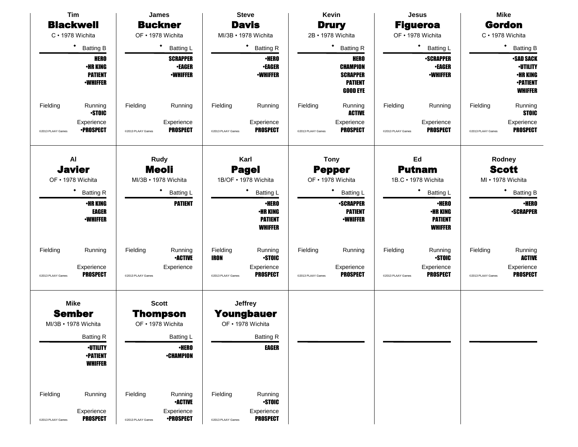| Tim                                                  |                                                                          | <b>James</b>                  |                                                             | <b>Steve</b>                  |                                                                     | Kevin                        |                                                                                        |                     | <b>Jesus</b>                                                        | Mike                                        |                                                                                            |  |
|------------------------------------------------------|--------------------------------------------------------------------------|-------------------------------|-------------------------------------------------------------|-------------------------------|---------------------------------------------------------------------|------------------------------|----------------------------------------------------------------------------------------|---------------------|---------------------------------------------------------------------|---------------------------------------------|--------------------------------------------------------------------------------------------|--|
|                                                      | <b>Blackwell</b>                                                         | <b>Buckner</b>                |                                                             | <b>Davis</b>                  |                                                                     | <b>Drury</b>                 |                                                                                        | <b>Figueroa</b>     |                                                                     |                                             | <b>Gordon</b>                                                                              |  |
|                                                      | C · 1978 Wichita                                                         | OF • 1978 Wichita             |                                                             | MI/3B · 1978 Wichita          |                                                                     | 2B · 1978 Wichita            |                                                                                        | OF • 1978 Wichita   |                                                                     |                                             | $C \cdot 1978$ Wichita                                                                     |  |
| $\bullet$<br><b>Batting B</b>                        |                                                                          |                               | <b>Batting L</b>                                            |                               | ٠<br><b>Batting R</b>                                               |                              | ٠<br><b>Batting R</b>                                                                  |                     | $\bullet$<br><b>Batting L</b>                                       |                                             | ٠<br><b>Batting B</b>                                                                      |  |
|                                                      | <b>HERO</b><br><b>•HR KING</b><br><b>PATIENT</b><br><b>•WHIFFER</b>      |                               | <b>SCRAPPER</b><br><b>•EAGER</b><br><b>-WHIFFER</b>         |                               | <b>•HERO</b><br><b>•EAGER</b><br><b>•WHIFFER</b>                    |                              | <b>HERO</b><br><b>CHAMPION</b><br><b>SCRAPPER</b><br><b>PATIENT</b><br><b>GOOD EYE</b> |                     | <b>-SCRAPPER</b><br><b>•EAGER</b><br><b>-WHIFFER</b>                |                                             | <b>SAD SACK</b><br><b>·UTILITY</b><br><b>•HR KING</b><br><b>•PATIENT</b><br><b>WHIFFER</b> |  |
| Fielding                                             | Running<br><b>STOIC</b>                                                  | Fielding                      | Running                                                     | Fielding                      | Running                                                             | Fielding                     | Running<br><b>ACTIVE</b>                                                               | Fielding            | Running                                                             | Fielding                                    | Running<br><b>STOIC</b>                                                                    |  |
| @2013 PLAAY Games                                    | Experience<br><b>•PROSPECT</b>                                           | @2013 PLAAY Games             | Experience<br><b>PROSPECT</b>                               | @2013 PLAAY Games             | Experience<br><b>PROSPECT</b>                                       | @2013 PLAAY Games            | Experience<br><b>PROSPECT</b>                                                          | @2013 PLAAY Games   | Experience<br><b>PROSPECT</b>                                       | @2013 PLAAY Games                           | Experience<br><b>PROSPECT</b>                                                              |  |
| Al<br><b>Javier</b>                                  |                                                                          | Rudy<br><b>Meoli</b>          |                                                             | Karl<br><b>Pagel</b>          |                                                                     | <b>Tony</b><br><b>Pepper</b> |                                                                                        | Ed<br><b>Putnam</b> |                                                                     | Rodney<br><b>Scott</b><br>MI • 1978 Wichita |                                                                                            |  |
|                                                      | OF • 1978 Wichita                                                        |                               | MI/3B · 1978 Wichita                                        |                               | 1B/OF • 1978 Wichita                                                |                              | OF • 1978 Wichita                                                                      |                     | 1B.C · 1978 Wichita                                                 |                                             |                                                                                            |  |
|                                                      | ٠<br><b>Batting R</b>                                                    |                               | <b>Batting L</b>                                            |                               | ٠<br>Batting L                                                      |                              | Batting L                                                                              |                     | ٠<br>Batting L                                                      |                                             | ٠<br><b>Batting B</b>                                                                      |  |
|                                                      | <b>•HR KING</b><br>EAGER<br><b>•WHIFFER</b>                              |                               | <b>PATIENT</b>                                              |                               | <b>·HERO</b><br><b>•HR KING</b><br><b>PATIENT</b><br><b>WHIFFER</b> |                              | <b>-SCRAPPER</b><br><b>PATIENT</b><br><b>-WHIFFER</b>                                  |                     | <b>-HERO</b><br><b>·HR KING</b><br><b>PATIENT</b><br><b>WHIFFER</b> |                                             | <b>•HERO</b><br><b>•SCRAPPER</b>                                                           |  |
| Fielding                                             | Running                                                                  | Fielding                      | Running<br><b>•ACTIVE</b>                                   | Fielding<br><b>IRON</b>       | Running<br><b>STOIC</b>                                             | Fielding                     | Running                                                                                | Fielding            | Running<br><b>STOIC</b>                                             | Fielding                                    | Running<br><b>ACTIVE</b>                                                                   |  |
| @2013 PLAAY Games                                    | Experience<br><b>PROSPECT</b>                                            | @2013 PLAAY Games             | Experience                                                  | @2013 PLAAY Games             | Experience<br><b>PROSPECT</b>                                       | @2013 PLAAY Games            | Experience<br><b>PROSPECT</b>                                                          | @2013 PLAAY Games   | Experience<br><b>PROSPECT</b>                                       | @2013 PLAAY Games                           | Experience<br><b>PROSPECT</b>                                                              |  |
| <b>Mike</b><br><b>Sember</b><br>MI/3B · 1978 Wichita |                                                                          |                               | <b>Scott</b><br>Thompson<br>OF • 1978 Wichita               |                               | <b>Jeffrey</b><br><b>Youngbauer</b><br>OF • 1978 Wichita            |                              |                                                                                        |                     |                                                                     |                                             |                                                                                            |  |
|                                                      | <b>Batting R</b><br><b>-UTILITY</b><br><b>-PATIENT</b><br><b>WHIFFER</b> |                               | Batting L<br><b>•HERO</b><br><b>-CHAMPION</b>               |                               | Batting R<br>EAGER                                                  |                              |                                                                                        |                     |                                                                     |                                             |                                                                                            |  |
| Fielding<br>@2013 PLAAY Games                        | Running<br>Experience<br><b>PROSPECT</b>                                 | Fielding<br>@2013 PLAAY Games | Running<br><b>•ACTIVE</b><br>Experience<br><b>•PROSPECT</b> | Fielding<br>@2013 PLAAY Games | Running<br><b>STOIC</b><br>Experience<br><b>PROSPECT</b>            |                              |                                                                                        |                     |                                                                     |                                             |                                                                                            |  |